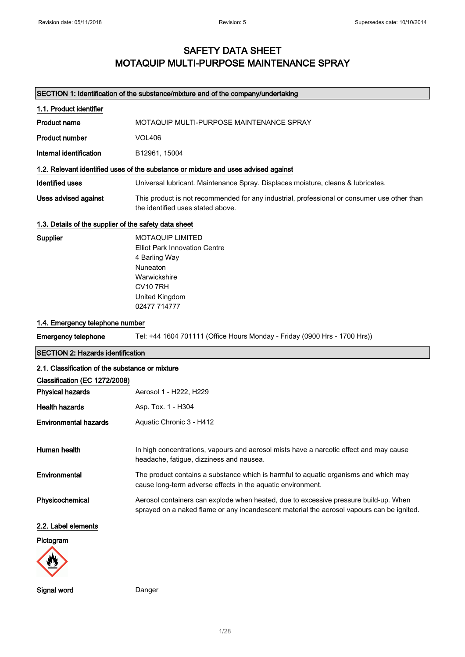## SAFETY DATA SHEET MOTAQUIP MULTI-PURPOSE MAINTENANCE SPRAY

## SECTION 1: Identification of the substance/mixture and of the company/undertaking

| 1.1. Product identifier                               |                                                                                                                                                                                   |
|-------------------------------------------------------|-----------------------------------------------------------------------------------------------------------------------------------------------------------------------------------|
| <b>Product name</b>                                   | MOTAQUIP MULTI-PURPOSE MAINTENANCE SPRAY                                                                                                                                          |
| <b>Product number</b>                                 | <b>VOL406</b>                                                                                                                                                                     |
| Internal identification                               | B12961, 15004                                                                                                                                                                     |
|                                                       | 1.2. Relevant identified uses of the substance or mixture and uses advised against                                                                                                |
| <b>Identified uses</b>                                | Universal lubricant. Maintenance Spray. Displaces moisture, cleans & lubricates.                                                                                                  |
| Uses advised against                                  | This product is not recommended for any industrial, professional or consumer use other than<br>the identified uses stated above.                                                  |
| 1.3. Details of the supplier of the safety data sheet |                                                                                                                                                                                   |
| Supplier                                              | <b>MOTAQUIP LIMITED</b><br><b>Elliot Park Innovation Centre</b><br>4 Barling Way<br><b>Nuneaton</b><br>Warwickshire<br><b>CV10 7RH</b><br>United Kingdom<br>02477 714777          |
| 1.4. Emergency telephone number                       |                                                                                                                                                                                   |
| <b>Emergency telephone</b>                            | Tel: +44 1604 701111 (Office Hours Monday - Friday (0900 Hrs - 1700 Hrs))                                                                                                         |
| <b>SECTION 2: Hazards identification</b>              |                                                                                                                                                                                   |
| 2.1. Classification of the substance or mixture       |                                                                                                                                                                                   |
|                                                       |                                                                                                                                                                                   |
| Classification (EC 1272/2008)                         |                                                                                                                                                                                   |
| <b>Physical hazards</b>                               | Aerosol 1 - H222, H229                                                                                                                                                            |
| <b>Health hazards</b>                                 | Asp. Tox. 1 - H304                                                                                                                                                                |
| <b>Environmental hazards</b>                          | Aquatic Chronic 3 - H412                                                                                                                                                          |
| Human health                                          | In high concentrations, vapours and aerosol mists have a narcotic effect and may cause<br>headache, fatigue, dizziness and nausea.                                                |
| Environmental                                         | The product contains a substance which is harmful to aquatic organisms and which may<br>cause long-term adverse effects in the aquatic environment.                               |
| Physicochemical                                       | Aerosol containers can explode when heated, due to excessive pressure build-up. When<br>sprayed on a naked flame or any incandescent material the aerosol vapours can be ignited. |
| 2.2. Label elements                                   |                                                                                                                                                                                   |
| Pictogram                                             |                                                                                                                                                                                   |

Signal word **Danger**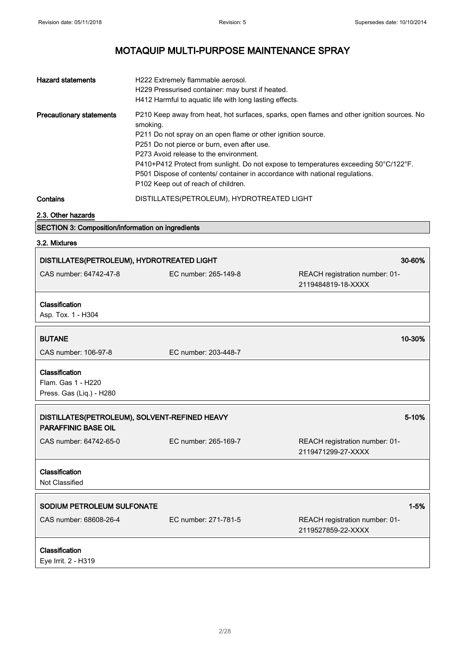| <b>Hazard statements</b>        | H222 Extremely flammable aerosol.<br>H229 Pressurised container: may burst if heated.<br>H412 Harmful to aquatic life with long lasting effects.                                                                                                                                                                                                                                                                                                                               |
|---------------------------------|--------------------------------------------------------------------------------------------------------------------------------------------------------------------------------------------------------------------------------------------------------------------------------------------------------------------------------------------------------------------------------------------------------------------------------------------------------------------------------|
| <b>Precautionary statements</b> | P210 Keep away from heat, hot surfaces, sparks, open flames and other ignition sources. No<br>smoking.<br>P211 Do not spray on an open flame or other ignition source.<br>P251 Do not pierce or burn, even after use.<br>P273 Avoid release to the environment.<br>P410+P412 Protect from sunlight. Do not expose to temperatures exceeding 50°C/122°F.<br>P501 Dispose of contents/ container in accordance with national regulations.<br>P102 Keep out of reach of children. |
| Contains                        | DISTILLATES(PETROLEUM), HYDROTREATED LIGHT                                                                                                                                                                                                                                                                                                                                                                                                                                     |

2.3. Other hazards

## SECTION 3: Composition/information on ingredients

3.2. Mixtures

| DISTILLATES(PETROLEUM), HYDROTREATED LIGHT                                  |                      | 30-60%                                               |
|-----------------------------------------------------------------------------|----------------------|------------------------------------------------------|
| CAS number: 64742-47-8                                                      | EC number: 265-149-8 | REACH registration number: 01-<br>2119484819-18-XXXX |
| Classification<br>Asp. Tox. 1 - H304                                        |                      |                                                      |
| <b>BUTANE</b>                                                               |                      | 10-30%                                               |
| CAS number: 106-97-8                                                        | EC number: 203-448-7 |                                                      |
| Classification<br>Flam. Gas 1 - H220<br>Press. Gas (Liq.) - H280            |                      |                                                      |
| DISTILLATES(PETROLEUM), SOLVENT-REFINED HEAVY<br><b>PARAFFINIC BASE OIL</b> |                      | 5-10%                                                |
| CAS number: 64742-65-0                                                      | EC number: 265-169-7 | REACH registration number: 01-<br>2119471299-27-XXXX |
| Classification<br>Not Classified                                            |                      |                                                      |
| SODIUM PETROLEUM SULFONATE                                                  |                      | $1 - 5%$                                             |
| CAS number: 68608-26-4                                                      | EC number: 271-781-5 | REACH registration number: 01-<br>2119527859-22-XXXX |
| Classification<br>Eye Irrit. 2 - H319                                       |                      |                                                      |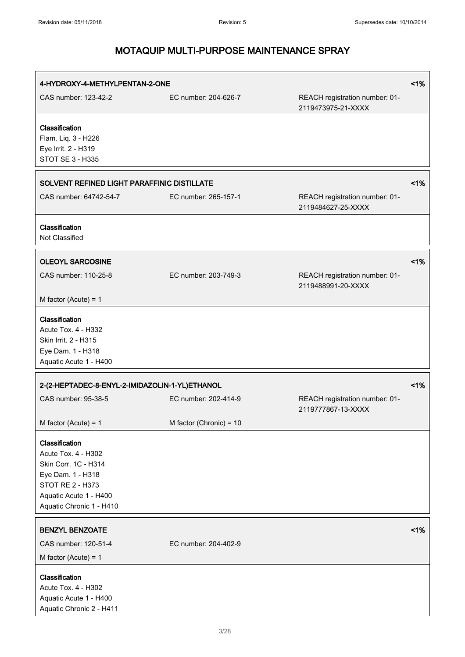| 4-HYDROXY-4-METHYLPENTAN-2-ONE                                                                                                                               |                         |                                                      | 1% |
|--------------------------------------------------------------------------------------------------------------------------------------------------------------|-------------------------|------------------------------------------------------|----|
| CAS number: 123-42-2                                                                                                                                         | EC number: 204-626-7    | REACH registration number: 01-<br>2119473975-21-XXXX |    |
| Classification<br>Flam. Liq. 3 - H226<br>Eye Irrit. 2 - H319<br>STOT SE 3 - H335                                                                             |                         |                                                      |    |
| SOLVENT REFINED LIGHT PARAFFINIC DISTILLATE                                                                                                                  |                         |                                                      | 1% |
| CAS number: 64742-54-7                                                                                                                                       | EC number: 265-157-1    | REACH registration number: 01-<br>2119484627-25-XXXX |    |
| Classification<br>Not Classified                                                                                                                             |                         |                                                      |    |
| <b>OLEOYL SARCOSINE</b><br>CAS number: 110-25-8<br>M factor (Acute) = $1$                                                                                    | EC number: 203-749-3    | REACH registration number: 01-<br>2119488991-20-XXXX | 1% |
| Classification<br>Acute Tox. 4 - H332<br>Skin Irrit. 2 - H315<br>Eye Dam. 1 - H318<br>Aquatic Acute 1 - H400                                                 |                         |                                                      |    |
| 2-(2-HEPTADEC-8-ENYL-2-IMIDAZOLIN-1-YL)ETHANOL                                                                                                               |                         |                                                      | 1% |
| CAS number: 95-38-5                                                                                                                                          | EC number: 202-414-9    | REACH registration number: 01-<br>2119777867-13-XXXX |    |
| M factor (Acute) = $1$                                                                                                                                       | M factor (Chronic) = 10 |                                                      |    |
| Classification<br>Acute Tox. 4 - H302<br>Skin Corr. 1C - H314<br>Eye Dam. 1 - H318<br>STOT RE 2 - H373<br>Aquatic Acute 1 - H400<br>Aquatic Chronic 1 - H410 |                         |                                                      |    |
| <b>BENZYL BENZOATE</b>                                                                                                                                       |                         |                                                      | 1% |
| CAS number: 120-51-4                                                                                                                                         | EC number: 204-402-9    |                                                      |    |
| M factor (Acute) = $1$                                                                                                                                       |                         |                                                      |    |
| Classification<br>Acute Tox. 4 - H302<br>Aquatic Acute 1 - H400<br>Aquatic Chronic 2 - H411                                                                  |                         |                                                      |    |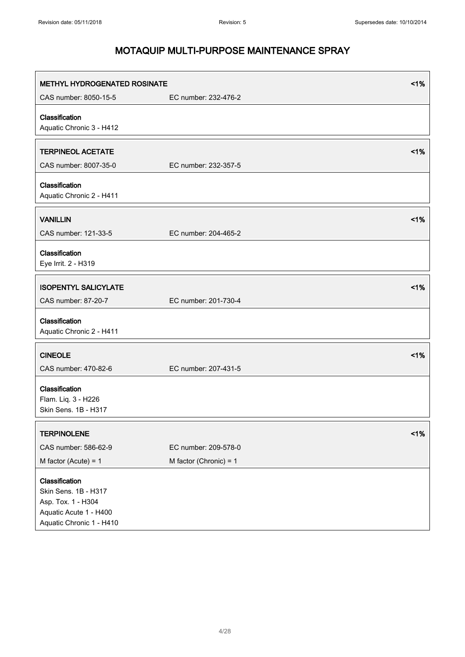| <b>METHYL HYDROGENATED ROSINATE</b>                                                                                |                                                  | 1% |
|--------------------------------------------------------------------------------------------------------------------|--------------------------------------------------|----|
| CAS number: 8050-15-5                                                                                              | EC number: 232-476-2                             |    |
| Classification<br>Aquatic Chronic 3 - H412                                                                         |                                                  |    |
| <b>TERPINEOL ACETATE</b><br>CAS number: 8007-35-0                                                                  | EC number: 232-357-5                             | 1% |
| Classification<br>Aquatic Chronic 2 - H411                                                                         |                                                  |    |
| <b>VANILLIN</b><br>CAS number: 121-33-5                                                                            | EC number: 204-465-2                             | 1% |
| Classification<br>Eye Irrit. 2 - H319                                                                              |                                                  |    |
| <b>ISOPENTYL SALICYLATE</b><br>CAS number: 87-20-7                                                                 | EC number: 201-730-4                             | 1% |
| Classification<br>Aquatic Chronic 2 - H411                                                                         |                                                  |    |
| <b>CINEOLE</b><br>CAS number: 470-82-6                                                                             | EC number: 207-431-5                             | 1% |
| Classification<br>Flam. Liq. 3 - H226<br>Skin Sens. 1B - H317                                                      |                                                  |    |
| <b>TERPINOLENE</b>                                                                                                 |                                                  | 1% |
| CAS number: 586-62-9<br>M factor (Acute) = $1$                                                                     | EC number: 209-578-0<br>M factor (Chronic) = $1$ |    |
| Classification<br>Skin Sens. 1B - H317<br>Asp. Tox. 1 - H304<br>Aquatic Acute 1 - H400<br>Aquatic Chronic 1 - H410 |                                                  |    |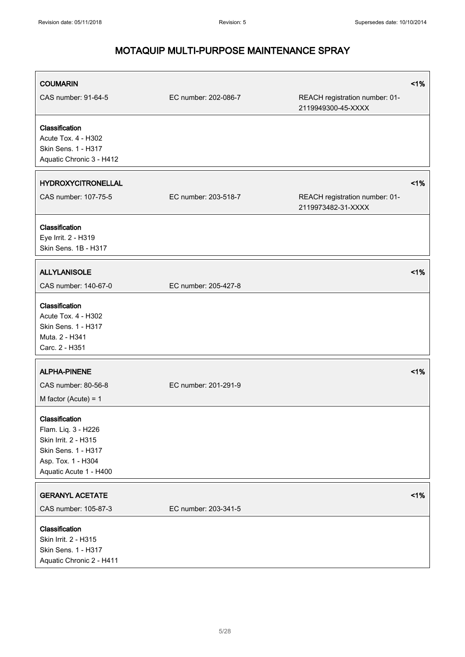| <b>COUMARIN</b>                                                                                                                      |                      |                                                      | 1% |
|--------------------------------------------------------------------------------------------------------------------------------------|----------------------|------------------------------------------------------|----|
| CAS number: 91-64-5                                                                                                                  | EC number: 202-086-7 | REACH registration number: 01-<br>2119949300-45-XXXX |    |
| Classification<br>Acute Tox. 4 - H302<br>Skin Sens. 1 - H317<br>Aquatic Chronic 3 - H412                                             |                      |                                                      |    |
| <b>HYDROXYCITRONELLAL</b>                                                                                                            |                      |                                                      | 1% |
| CAS number: 107-75-5                                                                                                                 | EC number: 203-518-7 | REACH registration number: 01-<br>2119973482-31-XXXX |    |
| Classification<br>Eye Irrit. 2 - H319<br>Skin Sens. 1B - H317                                                                        |                      |                                                      |    |
| <b>ALLYLANISOLE</b>                                                                                                                  |                      |                                                      | 1% |
| CAS number: 140-67-0                                                                                                                 | EC number: 205-427-8 |                                                      |    |
| Classification<br>Acute Tox. 4 - H302<br>Skin Sens. 1 - H317<br>Muta, 2 - H341<br>Carc. 2 - H351                                     |                      |                                                      |    |
| <b>ALPHA-PINENE</b>                                                                                                                  |                      |                                                      | 1% |
| CAS number: 80-56-8<br>M factor (Acute) = $1$                                                                                        | EC number: 201-291-9 |                                                      |    |
| Classification<br>Flam. Liq. 3 - H226<br>Skin Irrit. 2 - H315<br>Skin Sens. 1 - H317<br>Asp. Tox. 1 - H304<br>Aquatic Acute 1 - H400 |                      |                                                      |    |
| <b>GERANYL ACETATE</b>                                                                                                               |                      |                                                      | 1% |
| CAS number: 105-87-3                                                                                                                 | EC number: 203-341-5 |                                                      |    |
| Classification<br>Skin Irrit. 2 - H315<br>Skin Sens. 1 - H317<br>Aquatic Chronic 2 - H411                                            |                      |                                                      |    |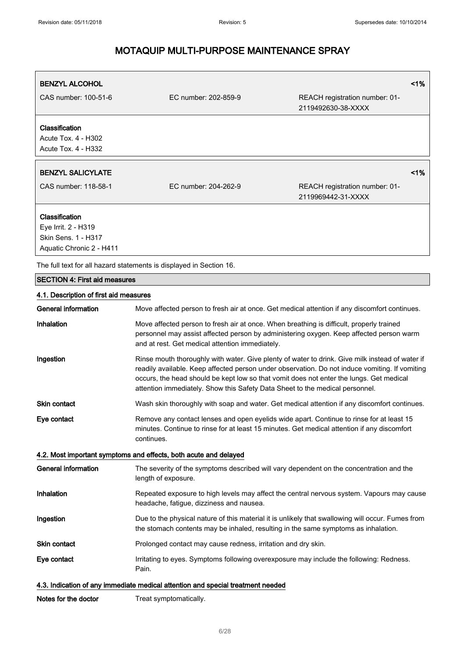| <b>BENZYL ALCOHOL</b>                                                                    |                                                                                                                                                                                                                                                                                                                                                                              | < 1%                                                                                              |
|------------------------------------------------------------------------------------------|------------------------------------------------------------------------------------------------------------------------------------------------------------------------------------------------------------------------------------------------------------------------------------------------------------------------------------------------------------------------------|---------------------------------------------------------------------------------------------------|
| CAS number: 100-51-6                                                                     | EC number: 202-859-9                                                                                                                                                                                                                                                                                                                                                         | REACH registration number: 01-<br>2119492630-38-XXXX                                              |
| Classification<br>Acute Tox. 4 - H302<br>Acute Tox. 4 - H332                             |                                                                                                                                                                                                                                                                                                                                                                              |                                                                                                   |
| <b>BENZYL SALICYLATE</b>                                                                 |                                                                                                                                                                                                                                                                                                                                                                              | 1%                                                                                                |
| CAS number: 118-58-1                                                                     | EC number: 204-262-9                                                                                                                                                                                                                                                                                                                                                         | REACH registration number: 01-<br>2119969442-31-XXXX                                              |
| Classification<br>Eye Irrit. 2 - H319<br>Skin Sens. 1 - H317<br>Aquatic Chronic 2 - H411 |                                                                                                                                                                                                                                                                                                                                                                              |                                                                                                   |
|                                                                                          | The full text for all hazard statements is displayed in Section 16.                                                                                                                                                                                                                                                                                                          |                                                                                                   |
| <b>SECTION 4: First aid measures</b>                                                     |                                                                                                                                                                                                                                                                                                                                                                              |                                                                                                   |
| 4.1. Description of first aid measures                                                   |                                                                                                                                                                                                                                                                                                                                                                              |                                                                                                   |
| General information                                                                      |                                                                                                                                                                                                                                                                                                                                                                              | Move affected person to fresh air at once. Get medical attention if any discomfort continues.     |
| Inhalation                                                                               | Move affected person to fresh air at once. When breathing is difficult, properly trained<br>personnel may assist affected person by administering oxygen. Keep affected person warm<br>and at rest. Get medical attention immediately.                                                                                                                                       |                                                                                                   |
| Ingestion                                                                                | Rinse mouth thoroughly with water. Give plenty of water to drink. Give milk instead of water if<br>readily available. Keep affected person under observation. Do not induce vomiting. If vomiting<br>occurs, the head should be kept low so that vomit does not enter the lungs. Get medical<br>attention immediately. Show this Safety Data Sheet to the medical personnel. |                                                                                                   |
| Skin contact                                                                             |                                                                                                                                                                                                                                                                                                                                                                              | Wash skin thoroughly with soap and water. Get medical attention if any discomfort continues.      |
| Eye contact                                                                              | Remove any contact lenses and open eyelids wide apart. Continue to rinse for at least 15<br>minutes. Continue to rinse for at least 15 minutes. Get medical attention if any discomfort<br>continues.                                                                                                                                                                        |                                                                                                   |
|                                                                                          | 4.2. Most important symptoms and effects, both acute and delayed                                                                                                                                                                                                                                                                                                             |                                                                                                   |
| <b>General information</b>                                                               | length of exposure.                                                                                                                                                                                                                                                                                                                                                          | The severity of the symptoms described will vary dependent on the concentration and the           |
| Inhalation                                                                               | headache, fatigue, dizziness and nausea.                                                                                                                                                                                                                                                                                                                                     | Repeated exposure to high levels may affect the central nervous system. Vapours may cause         |
| Ingestion                                                                                | the stomach contents may be inhaled, resulting in the same symptoms as inhalation.                                                                                                                                                                                                                                                                                           | Due to the physical nature of this material it is unlikely that swallowing will occur. Fumes from |
| Skin contact                                                                             | Prolonged contact may cause redness, irritation and dry skin.                                                                                                                                                                                                                                                                                                                |                                                                                                   |
| Eye contact                                                                              | Pain.                                                                                                                                                                                                                                                                                                                                                                        | Irritating to eyes. Symptoms following overexposure may include the following: Redness.           |
|                                                                                          | 4.3. Indication of any immediate medical attention and special treatment needed                                                                                                                                                                                                                                                                                              |                                                                                                   |

| Treat symptomatically. |
|------------------------|
|                        |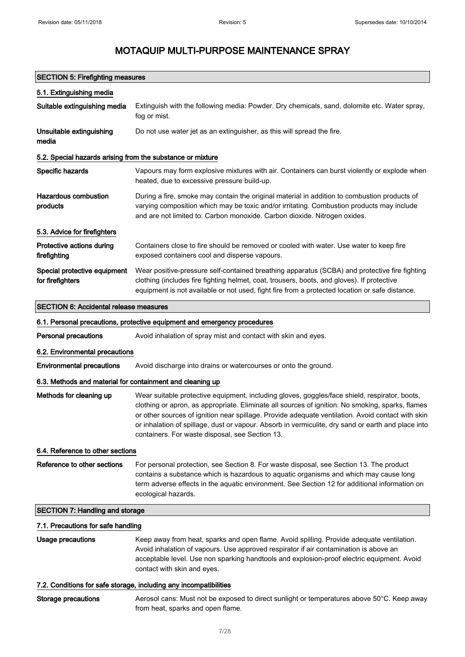## SECTION 5: Firefighting measures

| 5.1. Extinguishing media                                   |                                                                                                                                                                                                                                                                                                                                                                                                                                                                 |
|------------------------------------------------------------|-----------------------------------------------------------------------------------------------------------------------------------------------------------------------------------------------------------------------------------------------------------------------------------------------------------------------------------------------------------------------------------------------------------------------------------------------------------------|
| Suitable extinguishing media                               | Extinguish with the following media: Powder. Dry chemicals, sand, dolomite etc. Water spray,<br>fog or mist.                                                                                                                                                                                                                                                                                                                                                    |
| Unsuitable extinguishing<br>media                          | Do not use water jet as an extinguisher, as this will spread the fire.                                                                                                                                                                                                                                                                                                                                                                                          |
| 5.2. Special hazards arising from the substance or mixture |                                                                                                                                                                                                                                                                                                                                                                                                                                                                 |
| Specific hazards                                           | Vapours may form explosive mixtures with air. Containers can burst violently or explode when<br>heated, due to excessive pressure build-up.                                                                                                                                                                                                                                                                                                                     |
| <b>Hazardous combustion</b><br>products                    | During a fire, smoke may contain the original material in addition to combustion products of<br>varying composition which may be toxic and/or irritating. Combustion products may include<br>and are not limited to: Carbon monoxide. Carbon dioxide. Nitrogen oxides.                                                                                                                                                                                          |
| 5.3. Advice for firefighters                               |                                                                                                                                                                                                                                                                                                                                                                                                                                                                 |
| Protective actions during<br>firefighting                  | Containers close to fire should be removed or cooled with water. Use water to keep fire<br>exposed containers cool and disperse vapours.                                                                                                                                                                                                                                                                                                                        |
| Special protective equipment<br>for firefighters           | Wear positive-pressure self-contained breathing apparatus (SCBA) and protective fire fighting<br>clothing (includes fire fighting helmet, coat, trousers, boots, and gloves). If protective<br>equipment is not available or not used, fight fire from a protected location or safe distance.                                                                                                                                                                   |
| <b>SECTION 6: Accidental release measures</b>              |                                                                                                                                                                                                                                                                                                                                                                                                                                                                 |
|                                                            | 6.1. Personal precautions, protective equipment and emergency procedures                                                                                                                                                                                                                                                                                                                                                                                        |
| <b>Personal precautions</b>                                | Avoid inhalation of spray mist and contact with skin and eyes.                                                                                                                                                                                                                                                                                                                                                                                                  |
| 6.2. Environmental precautions                             |                                                                                                                                                                                                                                                                                                                                                                                                                                                                 |
| <b>Environmental precautions</b>                           | Avoid discharge into drains or watercourses or onto the ground.                                                                                                                                                                                                                                                                                                                                                                                                 |
| 6.3. Methods and material for containment and cleaning up  |                                                                                                                                                                                                                                                                                                                                                                                                                                                                 |
| Methods for cleaning up                                    | Wear suitable protective equipment, including gloves, goggles/face shield, respirator, boots,<br>clothing or apron, as appropriate. Eliminate all sources of ignition. No smoking, sparks, flames<br>or other sources of ignition near spillage. Provide adequate ventilation. Avoid contact with skin<br>or inhalation of spillage, dust or vapour. Absorb in vermiculite, dry sand or earth and place into<br>containers. For waste disposal, see Section 13. |
| 6.4. Reference to other sections                           |                                                                                                                                                                                                                                                                                                                                                                                                                                                                 |
| Reference to other sections                                | For personal protection, see Section 8. For waste disposal, see Section 13. The product<br>contains a substance which is hazardous to aquatic organisms and which may cause long<br>term adverse effects in the aquatic environment. See Section 12 for additional information on<br>ecological hazards.                                                                                                                                                        |
| <b>SECTION 7: Handling and storage</b>                     |                                                                                                                                                                                                                                                                                                                                                                                                                                                                 |
| 7.1. Precautions for safe handling                         |                                                                                                                                                                                                                                                                                                                                                                                                                                                                 |
| Usage precautions                                          | Keep away from heat, sparks and open flame. Avoid spilling. Provide adequate ventilation.<br>Avoid inhalation of vapours. Use approved respirator if air contamination is above an<br>acceptable level. Use non sparking handtools and explosion-proof electric equipment. Avoid<br>contact with skin and eyes.                                                                                                                                                 |

## 7.2. Conditions for safe storage, including any incompatibilities

| Storage precautions | Aerosol cans: Must not be exposed to direct sunlight or temperatures above 50°C. Keep away |
|---------------------|--------------------------------------------------------------------------------------------|
|                     | from heat, sparks and open flame.                                                          |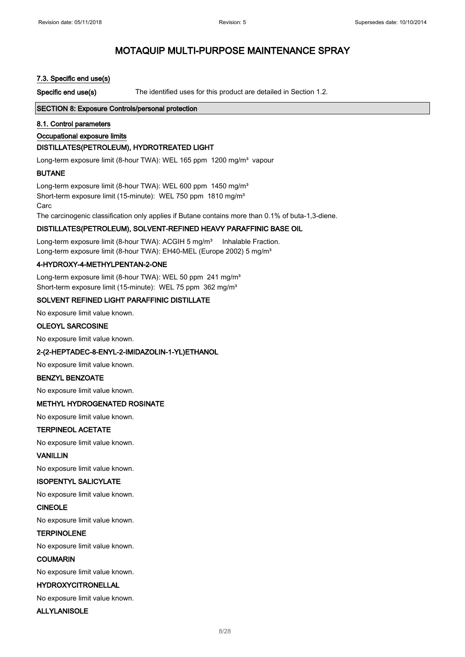### 7.3. Specific end use(s)

Specific end use(s) The identified uses for this product are detailed in Section 1.2.

### SECTION 8: Exposure Controls/personal protection

#### 8.1. Control parameters

#### Occupational exposure limits

### DISTILLATES(PETROLEUM), HYDROTREATED LIGHT

Long-term exposure limit (8-hour TWA): WEL 165 ppm 1200 mg/m<sup>3</sup> vapour

### BUTANE

Long-term exposure limit (8-hour TWA): WEL 600 ppm 1450 mg/m<sup>3</sup> Short-term exposure limit (15-minute): WEL 750 ppm 1810 mg/m<sup>3</sup> Carc

The carcinogenic classification only applies if Butane contains more than 0.1% of buta-1,3-diene.

### DISTILLATES(PETROLEUM), SOLVENT-REFINED HEAVY PARAFFINIC BASE OIL

Long-term exposure limit (8-hour TWA): ACGIH 5 mg/m<sup>3</sup> Inhalable Fraction. Long-term exposure limit (8-hour TWA): EH40-MEL (Europe 2002) 5 mg/m<sup>3</sup>

### 4-HYDROXY-4-METHYLPENTAN-2-ONE

Long-term exposure limit (8-hour TWA): WEL 50 ppm 241 mg/m<sup>3</sup> Short-term exposure limit (15-minute): WEL 75 ppm 362 mg/m<sup>3</sup>

### SOLVENT REFINED LIGHT PARAFFINIC DISTILLATE

No exposure limit value known.

#### OLEOYL SARCOSINE

No exposure limit value known.

#### 2-(2-HEPTADEC-8-ENYL-2-IMIDAZOLIN-1-YL)ETHANOL

No exposure limit value known.

#### BENZYL BENZOATE

No exposure limit value known.

#### METHYL HYDROGENATED ROSINATE

No exposure limit value known.

#### TERPINEOL ACETATE

No exposure limit value known.

### VANILLIN

No exposure limit value known.

### ISOPENTYL SALICYLATE

No exposure limit value known.

#### CINEOLE

No exposure limit value known.

### TERPINOLENE

No exposure limit value known.

#### COUMARIN

No exposure limit value known.

### HYDROXYCITRONELLAL

No exposure limit value known.

### ALLYLANISOLE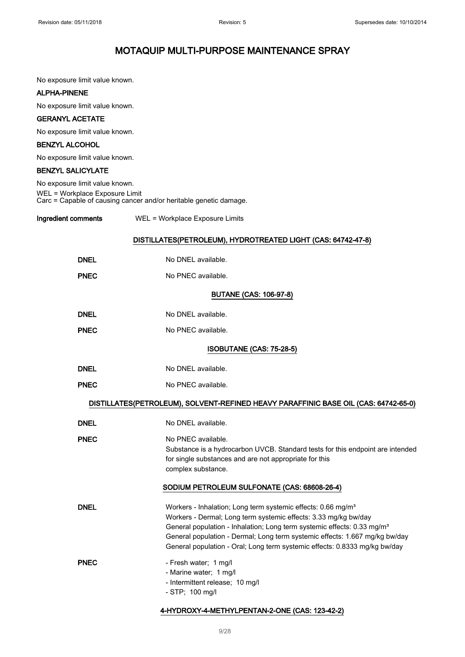No exposure limit value known.

### ALPHA-PINENE

No exposure limit value known.

### GERANYL ACETATE

No exposure limit value known.

## BENZYL ALCOHOL

No exposure limit value known.

## BENZYL SALICYLATE

| Ingredient comments            | WEL = Workplace Exposure Limits                                   |
|--------------------------------|-------------------------------------------------------------------|
| WEL = Workplace Exposure Limit | Carc = Capable of causing cancer and/or heritable genetic damage. |
| No exposure limit value known. |                                                                   |

## DISTILLATES(PETROLEUM), HYDROTREATED LIGHT (CAS: 64742-47-8)

| <b>DNEL</b> | No DNEL available.                                                                                                                                                                                                                                                                                                                                                                              |
|-------------|-------------------------------------------------------------------------------------------------------------------------------------------------------------------------------------------------------------------------------------------------------------------------------------------------------------------------------------------------------------------------------------------------|
| <b>PNEC</b> | No PNEC available.                                                                                                                                                                                                                                                                                                                                                                              |
|             | <b>BUTANE (CAS: 106-97-8)</b>                                                                                                                                                                                                                                                                                                                                                                   |
| <b>DNEL</b> | No DNEL available.                                                                                                                                                                                                                                                                                                                                                                              |
| <b>PNEC</b> | No PNEC available.                                                                                                                                                                                                                                                                                                                                                                              |
|             | ISOBUTANE (CAS: 75-28-5)                                                                                                                                                                                                                                                                                                                                                                        |
| <b>DNEL</b> | No DNEL available.                                                                                                                                                                                                                                                                                                                                                                              |
| <b>PNEC</b> | No PNEC available.                                                                                                                                                                                                                                                                                                                                                                              |
|             | DISTILLATES(PETROLEUM), SOLVENT-REFINED HEAVY PARAFFINIC BASE OIL (CAS: 64742-65-0)                                                                                                                                                                                                                                                                                                             |
| <b>DNEL</b> | No DNEL available.                                                                                                                                                                                                                                                                                                                                                                              |
| <b>PNEC</b> | No PNEC available.<br>Substance is a hydrocarbon UVCB. Standard tests for this endpoint are intended<br>for single substances and are not appropriate for this<br>complex substance.                                                                                                                                                                                                            |
|             | SODIUM PETROLEUM SULFONATE (CAS: 68608-26-4)                                                                                                                                                                                                                                                                                                                                                    |
| <b>DNEL</b> | Workers - Inhalation; Long term systemic effects: 0.66 mg/m <sup>3</sup><br>Workers - Dermal; Long term systemic effects: 3.33 mg/kg bw/day<br>General population - Inhalation; Long term systemic effects: 0.33 mg/m <sup>3</sup><br>General population - Dermal; Long term systemic effects: 1.667 mg/kg bw/day<br>General population - Oral; Long term systemic effects: 0.8333 mg/kg bw/day |
| <b>PNEC</b> | - Fresh water; 1 mg/l<br>- Marine water; 1 mg/l<br>- Intermittent release; 10 mg/l<br>- STP; 100 mg/l                                                                                                                                                                                                                                                                                           |

## 4-HYDROXY-4-METHYLPENTAN-2-ONE (CAS: 123-42-2)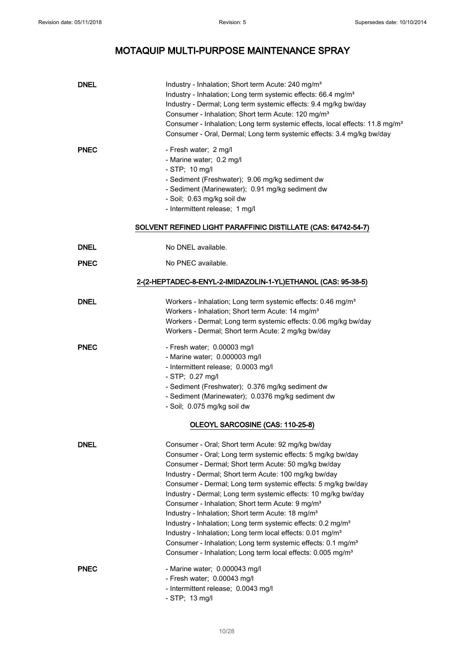| <b>DNEL</b> | Industry - Inhalation; Short term Acute: 240 mg/m <sup>3</sup><br>Industry - Inhalation; Long term systemic effects: 66.4 mg/m <sup>3</sup><br>Industry - Dermal; Long term systemic effects: 9.4 mg/kg bw/day<br>Consumer - Inhalation; Short term Acute: 120 mg/m <sup>3</sup><br>Consumer - Inhalation; Long term systemic effects, local effects: 11.8 mg/m <sup>3</sup><br>Consumer - Oral, Dermal; Long term systemic effects: 3.4 mg/kg bw/day                                                                                                                                                                                                                                                                                                                                                               |
|-------------|---------------------------------------------------------------------------------------------------------------------------------------------------------------------------------------------------------------------------------------------------------------------------------------------------------------------------------------------------------------------------------------------------------------------------------------------------------------------------------------------------------------------------------------------------------------------------------------------------------------------------------------------------------------------------------------------------------------------------------------------------------------------------------------------------------------------|
| <b>PNEC</b> | - Fresh water; 2 mg/l<br>- Marine water; 0.2 mg/l<br>$-$ STP; 10 mg/l<br>- Sediment (Freshwater); 9.06 mg/kg sediment dw<br>- Sediment (Marinewater); 0.91 mg/kg sediment dw<br>- Soil; 0.63 mg/kg soil dw<br>- Intermittent release; 1 mg/l<br>SOLVENT REFINED LIGHT PARAFFINIC DISTILLATE (CAS: 64742-54-7)                                                                                                                                                                                                                                                                                                                                                                                                                                                                                                       |
| <b>DNEL</b> | No DNEL available.                                                                                                                                                                                                                                                                                                                                                                                                                                                                                                                                                                                                                                                                                                                                                                                                  |
| <b>PNEC</b> | No PNEC available.                                                                                                                                                                                                                                                                                                                                                                                                                                                                                                                                                                                                                                                                                                                                                                                                  |
|             | 2-(2-HEPTADEC-8-ENYL-2-IMIDAZOLIN-1-YL)ETHANOL (CAS: 95-38-5)                                                                                                                                                                                                                                                                                                                                                                                                                                                                                                                                                                                                                                                                                                                                                       |
| <b>DNEL</b> | Workers - Inhalation; Long term systemic effects: 0.46 mg/m <sup>3</sup><br>Workers - Inhalation; Short term Acute: 14 mg/m <sup>3</sup><br>Workers - Dermal; Long term systemic effects: 0.06 mg/kg bw/day<br>Workers - Dermal; Short term Acute: 2 mg/kg bw/day                                                                                                                                                                                                                                                                                                                                                                                                                                                                                                                                                   |
| <b>PNEC</b> | - Fresh water; 0.00003 mg/l<br>- Marine water; 0.000003 mg/l<br>- Intermittent release; 0.0003 mg/l<br>- STP; 0.27 mg/l<br>- Sediment (Freshwater); 0.376 mg/kg sediment dw<br>- Sediment (Marinewater); 0.0376 mg/kg sediment dw<br>- Soil; 0.075 mg/kg soil dw<br>OLEOYL SARCOSINE (CAS: 110-25-8)                                                                                                                                                                                                                                                                                                                                                                                                                                                                                                                |
| <b>DNEL</b> | Consumer - Oral; Short term Acute: 92 mg/kg bw/day<br>Consumer - Oral; Long term systemic effects: 5 mg/kg bw/day<br>Consumer - Dermal; Short term Acute: 50 mg/kg bw/day<br>Industry - Dermal; Short term Acute: 100 mg/kg bw/day<br>Consumer - Dermal; Long term systemic effects: 5 mg/kg bw/day<br>Industry - Dermal; Long term systemic effects: 10 mg/kg bw/day<br>Consumer - Inhalation; Short term Acute: 9 mg/m <sup>3</sup><br>Industry - Inhalation; Short term Acute: 18 mg/m <sup>3</sup><br>Industry - Inhalation; Long term systemic effects: 0.2 mg/m <sup>3</sup><br>Industry - Inhalation; Long term local effects: 0.01 mg/m <sup>3</sup><br>Consumer - Inhalation; Long term systemic effects: 0.1 mg/m <sup>3</sup><br>Consumer - Inhalation; Long term local effects: 0.005 mg/m <sup>3</sup> |
| <b>PNEC</b> | - Marine water; 0.000043 mg/l<br>- Fresh water; 0.00043 mg/l<br>- Intermittent release; 0.0043 mg/l<br>$-$ STP; 13 mg/l                                                                                                                                                                                                                                                                                                                                                                                                                                                                                                                                                                                                                                                                                             |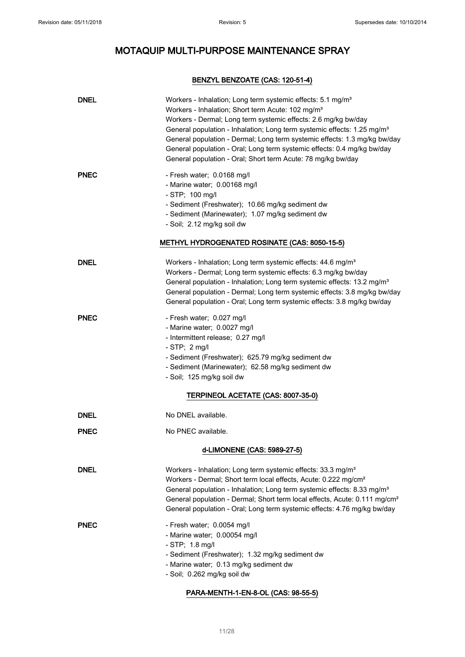## BENZYL BENZOATE (CAS: 120-51-4)

| <b>DNEL</b> | Workers - Inhalation; Long term systemic effects: 5.1 mg/m <sup>3</sup><br>Workers - Inhalation; Short term Acute: 102 mg/m <sup>3</sup><br>Workers - Dermal; Long term systemic effects: 2.6 mg/kg bw/day<br>General population - Inhalation; Long term systemic effects: 1.25 mg/m <sup>3</sup><br>General population - Dermal; Long term systemic effects: 1.3 mg/kg bw/day<br>General population - Oral; Long term systemic effects: 0.4 mg/kg bw/day<br>General population - Oral; Short term Acute: 78 mg/kg bw/day |
|-------------|---------------------------------------------------------------------------------------------------------------------------------------------------------------------------------------------------------------------------------------------------------------------------------------------------------------------------------------------------------------------------------------------------------------------------------------------------------------------------------------------------------------------------|
| <b>PNEC</b> | - Fresh water; 0.0168 mg/l<br>- Marine water; 0.00168 mg/l<br>$-$ STP; 100 mg/l<br>- Sediment (Freshwater); 10.66 mg/kg sediment dw<br>- Sediment (Marinewater); 1.07 mg/kg sediment dw<br>- Soil; 2.12 mg/kg soil dw<br><b>METHYL HYDROGENATED ROSINATE (CAS: 8050-15-5)</b>                                                                                                                                                                                                                                             |
| <b>DNEL</b> | Workers - Inhalation; Long term systemic effects: 44.6 mg/m <sup>3</sup><br>Workers - Dermal; Long term systemic effects: 6.3 mg/kg bw/day<br>General population - Inhalation; Long term systemic effects: 13.2 mg/m <sup>3</sup><br>General population - Dermal; Long term systemic effects: 3.8 mg/kg bw/day<br>General population - Oral; Long term systemic effects: 3.8 mg/kg bw/day                                                                                                                                 |
| <b>PNEC</b> | - Fresh water; 0.027 mg/l<br>- Marine water; 0.0027 mg/l<br>- Intermittent release; 0.27 mg/l<br>- STP; $2 \text{ mg/l}$<br>- Sediment (Freshwater); 625.79 mg/kg sediment dw<br>- Sediment (Marinewater); 62.58 mg/kg sediment dw<br>- Soil; 125 mg/kg soil dw<br>TERPINEOL ACETATE (CAS: 8007-35-0)                                                                                                                                                                                                                     |
| <b>DNEL</b> | No DNEL available.                                                                                                                                                                                                                                                                                                                                                                                                                                                                                                        |
| <b>PNEC</b> | No PNEC available.                                                                                                                                                                                                                                                                                                                                                                                                                                                                                                        |
|             | d-LIMONENE (CAS: 5989-27-5)                                                                                                                                                                                                                                                                                                                                                                                                                                                                                               |
| <b>DNEL</b> | Workers - Inhalation; Long term systemic effects: 33.3 mg/m <sup>3</sup><br>Workers - Dermal; Short term local effects, Acute: 0.222 mg/cm <sup>2</sup><br>General population - Inhalation; Long term systemic effects: 8.33 mg/m <sup>3</sup><br>General population - Dermal; Short term local effects, Acute: 0.111 mg/cm <sup>2</sup><br>General population - Oral; Long term systemic effects: 4.76 mg/kg bw/day                                                                                                      |
| <b>PNEC</b> | - Fresh water; 0.0054 mg/l<br>- Marine water; 0.00054 mg/l<br>- STP; 1.8 mg/l<br>- Sediment (Freshwater); 1.32 mg/kg sediment dw<br>- Marine water; 0.13 mg/kg sediment dw<br>- Soil; 0.262 mg/kg soil dw                                                                                                                                                                                                                                                                                                                 |

### PARA-MENTH-1-EN-8-OL (CAS: 98-55-5)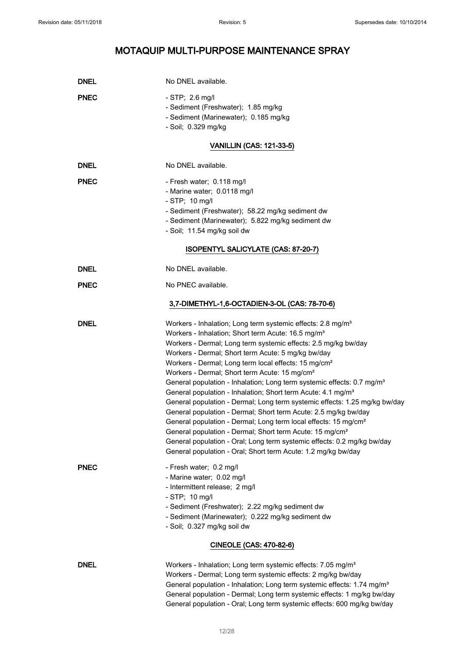| <b>DNEL</b> | No DNEL available.                                                                                                                                                                                                                                                                                                                                                                                                                                                                                                                                                                                                                                                                                                                                                                                                                                                                                                                                                                                                       |
|-------------|--------------------------------------------------------------------------------------------------------------------------------------------------------------------------------------------------------------------------------------------------------------------------------------------------------------------------------------------------------------------------------------------------------------------------------------------------------------------------------------------------------------------------------------------------------------------------------------------------------------------------------------------------------------------------------------------------------------------------------------------------------------------------------------------------------------------------------------------------------------------------------------------------------------------------------------------------------------------------------------------------------------------------|
| <b>PNEC</b> | $-$ STP; 2.6 mg/l<br>- Sediment (Freshwater); 1.85 mg/kg<br>- Sediment (Marinewater); 0.185 mg/kg<br>- Soil; 0.329 mg/kg                                                                                                                                                                                                                                                                                                                                                                                                                                                                                                                                                                                                                                                                                                                                                                                                                                                                                                 |
|             | <b>VANILLIN (CAS: 121-33-5)</b>                                                                                                                                                                                                                                                                                                                                                                                                                                                                                                                                                                                                                                                                                                                                                                                                                                                                                                                                                                                          |
| <b>DNEL</b> | No DNEL available.                                                                                                                                                                                                                                                                                                                                                                                                                                                                                                                                                                                                                                                                                                                                                                                                                                                                                                                                                                                                       |
| <b>PNEC</b> | - Fresh water; 0.118 mg/l<br>- Marine water; 0.0118 mg/l<br>- STP; 10 mg/l<br>- Sediment (Freshwater); 58.22 mg/kg sediment dw<br>- Sediment (Marinewater); 5.822 mg/kg sediment dw<br>- Soil; 11.54 mg/kg soil dw                                                                                                                                                                                                                                                                                                                                                                                                                                                                                                                                                                                                                                                                                                                                                                                                       |
|             | ISOPENTYL SALICYLATE (CAS: 87-20-7)                                                                                                                                                                                                                                                                                                                                                                                                                                                                                                                                                                                                                                                                                                                                                                                                                                                                                                                                                                                      |
| <b>DNEL</b> | No DNEL available.                                                                                                                                                                                                                                                                                                                                                                                                                                                                                                                                                                                                                                                                                                                                                                                                                                                                                                                                                                                                       |
| <b>PNEC</b> | No PNEC available.                                                                                                                                                                                                                                                                                                                                                                                                                                                                                                                                                                                                                                                                                                                                                                                                                                                                                                                                                                                                       |
|             | 3,7-DIMETHYL-1,6-OCTADIEN-3-OL (CAS: 78-70-6)                                                                                                                                                                                                                                                                                                                                                                                                                                                                                                                                                                                                                                                                                                                                                                                                                                                                                                                                                                            |
| <b>DNEL</b> | Workers - Inhalation; Long term systemic effects: 2.8 mg/m <sup>3</sup><br>Workers - Inhalation; Short term Acute: 16.5 mg/m <sup>3</sup><br>Workers - Dermal; Long term systemic effects: 2.5 mg/kg bw/day<br>Workers - Dermal; Short term Acute: 5 mg/kg bw/day<br>Workers - Dermal; Long term local effects: 15 mg/cm <sup>2</sup><br>Workers - Dermal; Short term Acute: 15 mg/cm <sup>2</sup><br>General population - Inhalation; Long term systemic effects: 0.7 mg/m <sup>3</sup><br>General population - Inhalation; Short term Acute: 4.1 mg/m <sup>3</sup><br>General population - Dermal; Long term systemic effects: 1.25 mg/kg bw/day<br>General population - Dermal; Short term Acute: 2.5 mg/kg bw/day<br>General population - Dermal; Long term local effects: 15 mg/cm <sup>2</sup><br>General population - Dermal; Short term Acute: 15 mg/cm <sup>2</sup><br>General population - Oral; Long term systemic effects: 0.2 mg/kg bw/day<br>General population - Oral; Short term Acute: 1.2 mg/kg bw/day |
| <b>PNEC</b> | - Fresh water; 0.2 mg/l<br>- Marine water; 0.02 mg/l<br>- Intermittent release; 2 mg/l<br>- STP; 10 mg/l<br>- Sediment (Freshwater); 2.22 mg/kg sediment dw<br>- Sediment (Marinewater); 0.222 mg/kg sediment dw<br>- Soil; 0.327 mg/kg soil dw                                                                                                                                                                                                                                                                                                                                                                                                                                                                                                                                                                                                                                                                                                                                                                          |
|             | CINEOLE (CAS: 470-82-6)                                                                                                                                                                                                                                                                                                                                                                                                                                                                                                                                                                                                                                                                                                                                                                                                                                                                                                                                                                                                  |
| <b>DNEL</b> | Workers - Inhalation; Long term systemic effects: 7.05 mg/m <sup>3</sup><br>Workers - Dermal; Long term systemic effects: 2 mg/kg bw/day<br>General population - Inhalation; Long term systemic effects: 1.74 mg/m <sup>3</sup><br>General population - Dermal; Long term systemic effects: 1 mg/kg bw/day                                                                                                                                                                                                                                                                                                                                                                                                                                                                                                                                                                                                                                                                                                               |

General population - Oral; Long term systemic effects: 600 mg/kg bw/day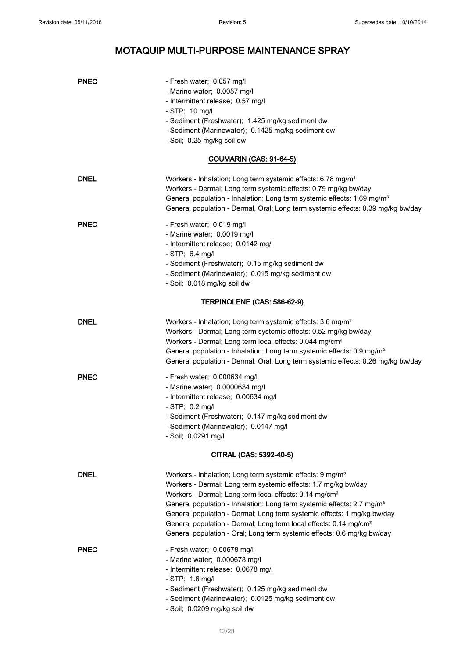| <b>PNEC</b> | - Fresh water; 0.057 mg/l<br>- Marine water; 0.0057 mg/l<br>- Intermittent release; 0.57 mg/l<br>$-$ STP; 10 mg/l<br>- Sediment (Freshwater); 1.425 mg/kg sediment dw<br>- Sediment (Marinewater); 0.1425 mg/kg sediment dw<br>- Soil; 0.25 mg/kg soil dw                                                                                                                                                                                                                                                                                  |
|-------------|--------------------------------------------------------------------------------------------------------------------------------------------------------------------------------------------------------------------------------------------------------------------------------------------------------------------------------------------------------------------------------------------------------------------------------------------------------------------------------------------------------------------------------------------|
|             | COUMARIN (CAS: 91-64-5)                                                                                                                                                                                                                                                                                                                                                                                                                                                                                                                    |
| <b>DNEL</b> | Workers - Inhalation; Long term systemic effects: 6.78 mg/m <sup>3</sup><br>Workers - Dermal; Long term systemic effects: 0.79 mg/kg bw/day<br>General population - Inhalation; Long term systemic effects: 1.69 mg/m <sup>3</sup><br>General population - Dermal, Oral; Long term systemic effects: 0.39 mg/kg bw/day                                                                                                                                                                                                                     |
| <b>PNEC</b> | - Fresh water; 0.019 mg/l<br>- Marine water; 0.0019 mg/l<br>- Intermittent release; 0.0142 mg/l<br>$-$ STP; 6.4 mg/l<br>- Sediment (Freshwater); 0.15 mg/kg sediment dw<br>- Sediment (Marinewater); 0.015 mg/kg sediment dw<br>- Soil; 0.018 mg/kg soil dw                                                                                                                                                                                                                                                                                |
|             | TERPINOLENE (CAS: 586-62-9)                                                                                                                                                                                                                                                                                                                                                                                                                                                                                                                |
| <b>DNEL</b> | Workers - Inhalation; Long term systemic effects: 3.6 mg/m <sup>3</sup><br>Workers - Dermal; Long term systemic effects: 0.52 mg/kg bw/day<br>Workers - Dermal; Long term local effects: 0.044 mg/cm <sup>2</sup><br>General population - Inhalation; Long term systemic effects: 0.9 mg/m <sup>3</sup><br>General population - Dermal, Oral; Long term systemic effects: 0.26 mg/kg bw/day                                                                                                                                                |
| <b>PNEC</b> | - Fresh water; 0.000634 mg/l<br>- Marine water; 0.0000634 mg/l<br>- Intermittent release; 0.00634 mg/l<br>$-$ STP; 0.2 mg/l<br>- Sediment (Freshwater); 0.147 mg/kg sediment dw<br>- Sediment (Marinewater); 0.0147 mg/l<br>- Soil; 0.0291 mg/l                                                                                                                                                                                                                                                                                            |
|             | CITRAL (CAS: 5392-40-5)                                                                                                                                                                                                                                                                                                                                                                                                                                                                                                                    |
| <b>DNEL</b> | Workers - Inhalation; Long term systemic effects: 9 mg/m <sup>3</sup><br>Workers - Dermal; Long term systemic effects: 1.7 mg/kg bw/day<br>Workers - Dermal; Long term local effects: 0.14 mg/cm <sup>2</sup><br>General population - Inhalation; Long term systemic effects: 2.7 mg/m <sup>3</sup><br>General population - Dermal; Long term systemic effects: 1 mg/kg bw/day<br>General population - Dermal; Long term local effects: 0.14 mg/cm <sup>2</sup><br>General population - Oral; Long term systemic effects: 0.6 mg/kg bw/day |
| <b>PNEC</b> | - Fresh water; 0.00678 mg/l<br>- Marine water; 0.000678 mg/l<br>- Intermittent release; 0.0678 mg/l<br>- STP; 1.6 mg/l<br>- Sediment (Freshwater); 0.125 mg/kg sediment dw<br>- Sediment (Marinewater); 0.0125 mg/kg sediment dw<br>- Soil; 0.0209 mg/kg soil dw                                                                                                                                                                                                                                                                           |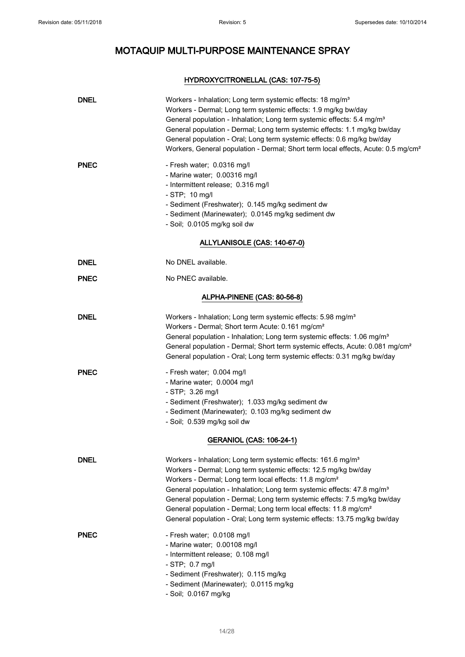## HYDROXYCITRONELLAL (CAS: 107-75-5)

| <b>DNEL</b>                 | Workers - Inhalation; Long term systemic effects: 18 mg/m <sup>3</sup><br>Workers - Dermal; Long term systemic effects: 1.9 mg/kg bw/day<br>General population - Inhalation; Long term systemic effects: 5.4 mg/m <sup>3</sup><br>General population - Dermal; Long term systemic effects: 1.1 mg/kg bw/day<br>General population - Oral; Long term systemic effects: 0.6 mg/kg bw/day<br>Workers, General population - Dermal; Short term local effects, Acute: 0.5 mg/cm <sup>2</sup>                                                              |  |
|-----------------------------|------------------------------------------------------------------------------------------------------------------------------------------------------------------------------------------------------------------------------------------------------------------------------------------------------------------------------------------------------------------------------------------------------------------------------------------------------------------------------------------------------------------------------------------------------|--|
| <b>PNEC</b>                 | - Fresh water; 0.0316 mg/l<br>- Marine water; 0.00316 mg/l<br>- Intermittent release; 0.316 mg/l<br>$-$ STP; 10 mg/l<br>- Sediment (Freshwater); 0.145 mg/kg sediment dw<br>- Sediment (Marinewater); 0.0145 mg/kg sediment dw<br>- Soil; 0.0105 mg/kg soil dw                                                                                                                                                                                                                                                                                       |  |
|                             | ALLYLANISOLE (CAS: 140-67-0)                                                                                                                                                                                                                                                                                                                                                                                                                                                                                                                         |  |
| <b>DNEL</b>                 | No DNEL available.                                                                                                                                                                                                                                                                                                                                                                                                                                                                                                                                   |  |
| <b>PNEC</b>                 | No PNEC available.                                                                                                                                                                                                                                                                                                                                                                                                                                                                                                                                   |  |
| ALPHA-PINENE (CAS: 80-56-8) |                                                                                                                                                                                                                                                                                                                                                                                                                                                                                                                                                      |  |
| <b>DNEL</b>                 | Workers - Inhalation; Long term systemic effects: 5.98 mg/m <sup>3</sup><br>Workers - Dermal; Short term Acute: 0.161 mg/cm <sup>2</sup><br>General population - Inhalation; Long term systemic effects: 1.06 mg/m <sup>3</sup><br>General population - Dermal; Short term systemic effects, Acute: 0.081 mg/cm <sup>2</sup><br>General population - Oral; Long term systemic effects: 0.31 mg/kg bw/day                                                                                                                                             |  |
| <b>PNEC</b>                 | - Fresh water; 0.004 mg/l<br>- Marine water; 0.0004 mg/l<br>$-$ STP; 3.26 mg/l<br>- Sediment (Freshwater); 1.033 mg/kg sediment dw<br>- Sediment (Marinewater); 0.103 mg/kg sediment dw<br>- Soil; 0.539 mg/kg soil dw                                                                                                                                                                                                                                                                                                                               |  |
|                             | <b>GERANIOL (CAS: 106-24-1)</b>                                                                                                                                                                                                                                                                                                                                                                                                                                                                                                                      |  |
| <b>DNEL</b>                 | Workers - Inhalation; Long term systemic effects: 161.6 mg/m <sup>3</sup><br>Workers - Dermal; Long term systemic effects: 12.5 mg/kg bw/day<br>Workers - Dermal; Long term local effects: 11.8 mg/cm <sup>2</sup><br>General population - Inhalation; Long term systemic effects: 47.8 mg/m <sup>3</sup><br>General population - Dermal; Long term systemic effects: 7.5 mg/kg bw/day<br>General population - Dermal; Long term local effects: 11.8 mg/cm <sup>2</sup><br>General population - Oral; Long term systemic effects: 13.75 mg/kg bw/day |  |
| <b>PNEC</b>                 | - Fresh water; 0.0108 mg/l<br>- Marine water; 0.00108 mg/l<br>- Intermittent release; 0.108 mg/l<br>- STP; 0.7 mg/l<br>- Sediment (Freshwater); 0.115 mg/kg<br>- Sediment (Marinewater); 0.0115 mg/kg<br>- Soil; 0.0167 mg/kg                                                                                                                                                                                                                                                                                                                        |  |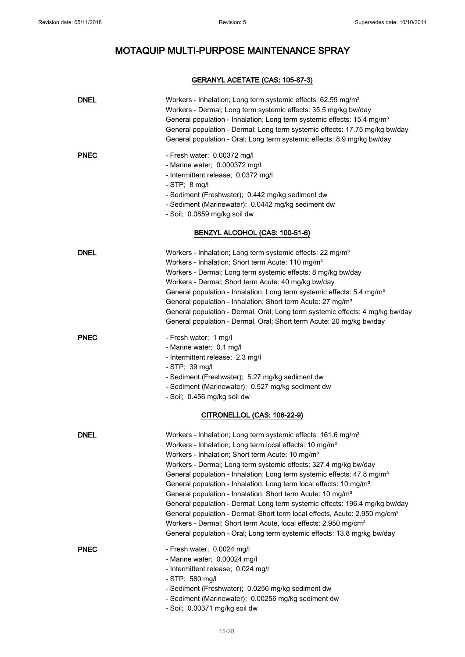## GERANYL ACETATE (CAS: 105-87-3)

| <b>DNEL</b> | Workers - Inhalation; Long term systemic effects: 62.59 mg/m <sup>3</sup><br>Workers - Dermal; Long term systemic effects: 35.5 mg/kg bw/day<br>General population - Inhalation; Long term systemic effects: 15.4 mg/m <sup>3</sup><br>General population - Dermal; Long term systemic effects: 17.75 mg/kg bw/day<br>General population - Oral; Long term systemic effects: 8.9 mg/kg bw/day                                                                                                                                                                                                                                                                                                                                                                                                                                                                                |
|-------------|------------------------------------------------------------------------------------------------------------------------------------------------------------------------------------------------------------------------------------------------------------------------------------------------------------------------------------------------------------------------------------------------------------------------------------------------------------------------------------------------------------------------------------------------------------------------------------------------------------------------------------------------------------------------------------------------------------------------------------------------------------------------------------------------------------------------------------------------------------------------------|
| <b>PNEC</b> | - Fresh water; 0.00372 mg/l<br>- Marine water; 0.000372 mg/l<br>- Intermittent release; 0.0372 mg/l<br>$-$ STP; $8$ mg/l<br>- Sediment (Freshwater); 0.442 mg/kg sediment dw<br>- Sediment (Marinewater); 0.0442 mg/kg sediment dw<br>- Soil; 0.0859 mg/kg soil dw                                                                                                                                                                                                                                                                                                                                                                                                                                                                                                                                                                                                           |
|             | BENZYL ALCOHOL (CAS: 100-51-6)                                                                                                                                                                                                                                                                                                                                                                                                                                                                                                                                                                                                                                                                                                                                                                                                                                               |
| <b>DNEL</b> | Workers - Inhalation; Long term systemic effects: 22 mg/m <sup>3</sup><br>Workers - Inhalation; Short term Acute: 110 mg/m <sup>3</sup><br>Workers - Dermal; Long term systemic effects: 8 mg/kg bw/day<br>Workers - Dermal; Short term Acute: 40 mg/kg bw/day<br>General population - Inhalation; Long term systemic effects: 5.4 mg/m <sup>3</sup><br>General population - Inhalation; Short term Acute: 27 mg/m <sup>3</sup><br>General population - Dermal, Oral; Long term systemic effects: 4 mg/kg bw/day<br>General population - Dermal, Oral; Short term Acute: 20 mg/kg bw/day                                                                                                                                                                                                                                                                                     |
| <b>PNEC</b> | - Fresh water; 1 mg/l<br>- Marine water; 0.1 mg/l<br>- Intermittent release; 2.3 mg/l<br>- STP; 39 mg/l<br>- Sediment (Freshwater); 5.27 mg/kg sediment dw<br>- Sediment (Marinewater); 0.527 mg/kg sediment dw<br>- Soil; 0.456 mg/kg soil dw                                                                                                                                                                                                                                                                                                                                                                                                                                                                                                                                                                                                                               |
|             | CITRONELLOL (CAS: 106-22-9)                                                                                                                                                                                                                                                                                                                                                                                                                                                                                                                                                                                                                                                                                                                                                                                                                                                  |
| <b>DNEL</b> | Workers - Inhalation; Long term systemic effects: 161.6 mg/m <sup>3</sup><br>Workers - Inhalation; Long term local effects: 10 mg/m <sup>3</sup><br>Workers - Inhalation; Short term Acute: 10 mg/m <sup>3</sup><br>Workers - Dermal; Long term systemic effects: 327.4 mg/kg bw/day<br>General population - Inhalation; Long term systemic effects: 47.8 mg/m <sup>3</sup><br>General population - Inhalation; Long term local effects: 10 mg/m <sup>3</sup><br>General population - Inhalation; Short term Acute: 10 mg/m <sup>3</sup><br>General population - Dermal; Long term systemic effects: 196.4 mg/kg bw/day<br>General population - Dermal; Short term local effects, Acute: 2.950 mg/cm <sup>2</sup><br>Workers - Dermal; Short term Acute, local effects: 2.950 mg/cm <sup>2</sup><br>General population - Oral; Long term systemic effects: 13.8 mg/kg bw/day |
| <b>PNEC</b> | - Fresh water; 0.0024 mg/l<br>- Marine water; 0.00024 mg/l<br>- Intermittent release; 0.024 mg/l<br>- STP; 580 mg/l<br>- Sediment (Freshwater); 0.0256 mg/kg sediment dw<br>- Sediment (Marinewater); 0.00256 mg/kg sediment dw<br>- Soil; 0.00371 mg/kg soil dw                                                                                                                                                                                                                                                                                                                                                                                                                                                                                                                                                                                                             |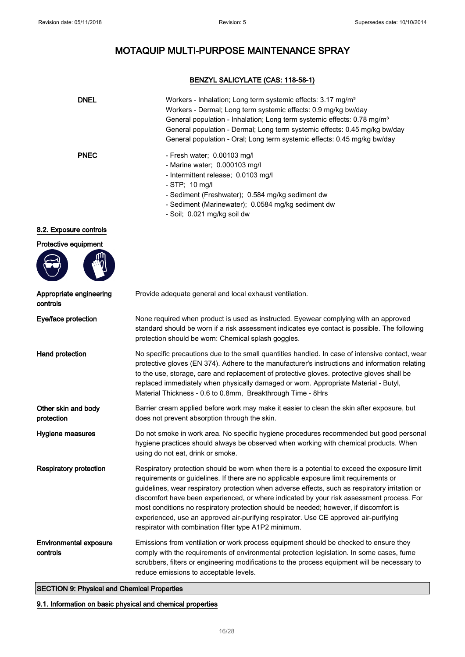## BENZYL SALICYLATE (CAS: 118-58-1)

| <b>DNEL</b>                               | Workers - Inhalation; Long term systemic effects: 3.17 mg/m <sup>3</sup><br>Workers - Dermal; Long term systemic effects: 0.9 mg/kg bw/day<br>General population - Inhalation; Long term systemic effects: 0.78 mg/m <sup>3</sup><br>General population - Dermal; Long term systemic effects: 0.45 mg/kg bw/day<br>General population - Oral; Long term systemic effects: 0.45 mg/kg bw/day                                                                                                                                                                                                                                     |
|-------------------------------------------|---------------------------------------------------------------------------------------------------------------------------------------------------------------------------------------------------------------------------------------------------------------------------------------------------------------------------------------------------------------------------------------------------------------------------------------------------------------------------------------------------------------------------------------------------------------------------------------------------------------------------------|
| <b>PNEC</b>                               | - Fresh water; 0.00103 mg/l<br>- Marine water; 0.000103 mg/l<br>- Intermittent release; 0.0103 mg/l<br>- STP; 10 mg/l<br>- Sediment (Freshwater); 0.584 mg/kg sediment dw<br>- Sediment (Marinewater); 0.0584 mg/kg sediment dw<br>- Soil; 0.021 mg/kg soil dw                                                                                                                                                                                                                                                                                                                                                                  |
| 8.2. Exposure controls                    |                                                                                                                                                                                                                                                                                                                                                                                                                                                                                                                                                                                                                                 |
| Protective equipment                      |                                                                                                                                                                                                                                                                                                                                                                                                                                                                                                                                                                                                                                 |
| Appropriate engineering<br>controls       | Provide adequate general and local exhaust ventilation.                                                                                                                                                                                                                                                                                                                                                                                                                                                                                                                                                                         |
| Eye/face protection                       | None required when product is used as instructed. Eyewear complying with an approved<br>standard should be worn if a risk assessment indicates eye contact is possible. The following<br>protection should be worn: Chemical splash goggles.                                                                                                                                                                                                                                                                                                                                                                                    |
| Hand protection                           | No specific precautions due to the small quantities handled. In case of intensive contact, wear<br>protective gloves (EN 374). Adhere to the manufacturer's instructions and information relating<br>to the use, storage, care and replacement of protective gloves. protective gloves shall be<br>replaced immediately when physically damaged or worn. Appropriate Material - Butyl,<br>Material Thickness - 0.6 to 0.8mm, Breakthrough Time - 8Hrs                                                                                                                                                                           |
| Other skin and body<br>protection         | Barrier cream applied before work may make it easier to clean the skin after exposure, but<br>does not prevent absorption through the skin.                                                                                                                                                                                                                                                                                                                                                                                                                                                                                     |
| Hygiene measures                          | Do not smoke in work area. No specific hygiene procedures recommended but good personal<br>hygiene practices should always be observed when working with chemical products. When<br>using do not eat, drink or smoke.                                                                                                                                                                                                                                                                                                                                                                                                           |
| <b>Respiratory protection</b>             | Respiratory protection should be worn when there is a potential to exceed the exposure limit<br>requirements or guidelines. If there are no applicable exposure limit requirements or<br>guidelines, wear respiratory protection when adverse effects, such as respiratory irritation or<br>discomfort have been experienced, or where indicated by your risk assessment process. For<br>most conditions no respiratory protection should be needed; however, if discomfort is<br>experienced, use an approved air-purifying respirator. Use CE approved air-purifying<br>respirator with combination filter type A1P2 minimum. |
| <b>Environmental exposure</b><br>controls | Emissions from ventilation or work process equipment should be checked to ensure they<br>comply with the requirements of environmental protection legislation. In some cases, fume<br>scrubbers, filters or engineering modifications to the process equipment will be necessary to<br>reduce emissions to acceptable levels.                                                                                                                                                                                                                                                                                                   |

## SECTION 9: Physical and Chemical Properties

9.1. Information on basic physical and chemical properties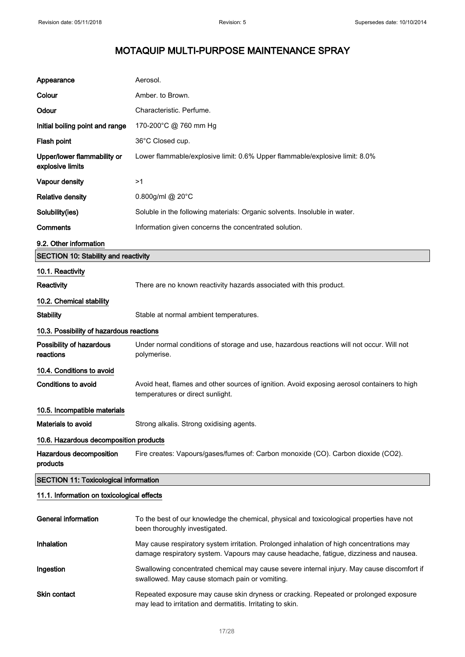| Appearance                                      | Aerosol.                                                                                                                                                                          |  |
|-------------------------------------------------|-----------------------------------------------------------------------------------------------------------------------------------------------------------------------------------|--|
| Colour                                          | Amber. to Brown.                                                                                                                                                                  |  |
| Odour                                           | Characteristic. Perfume.                                                                                                                                                          |  |
| Initial boiling point and range                 | 170-200°C @ 760 mm Hg                                                                                                                                                             |  |
| Flash point                                     | 36°C Closed cup.                                                                                                                                                                  |  |
| Upper/lower flammability or<br>explosive limits | Lower flammable/explosive limit: 0.6% Upper flammable/explosive limit: 8.0%                                                                                                       |  |
| Vapour density                                  | >1                                                                                                                                                                                |  |
| <b>Relative density</b>                         | 0.800g/ml @ 20°C                                                                                                                                                                  |  |
| Solubility(ies)                                 | Soluble in the following materials: Organic solvents. Insoluble in water.                                                                                                         |  |
| Comments                                        | Information given concerns the concentrated solution.                                                                                                                             |  |
| 9.2. Other information                          |                                                                                                                                                                                   |  |
| <b>SECTION 10: Stability and reactivity</b>     |                                                                                                                                                                                   |  |
| 10.1. Reactivity                                |                                                                                                                                                                                   |  |
| <b>Reactivity</b>                               | There are no known reactivity hazards associated with this product.                                                                                                               |  |
| 10.2. Chemical stability                        |                                                                                                                                                                                   |  |
| <b>Stability</b>                                | Stable at normal ambient temperatures.                                                                                                                                            |  |
| 10.3. Possibility of hazardous reactions        |                                                                                                                                                                                   |  |
| Possibility of hazardous<br>reactions           | Under normal conditions of storage and use, hazardous reactions will not occur. Will not<br>polymerise.                                                                           |  |
| 10.4. Conditions to avoid                       |                                                                                                                                                                                   |  |
| <b>Conditions to avoid</b>                      | Avoid heat, flames and other sources of ignition. Avoid exposing aerosol containers to high<br>temperatures or direct sunlight.                                                   |  |
| 10.5. Incompatible materials                    |                                                                                                                                                                                   |  |
| <b>Materials to avoid</b>                       | Strong alkalis. Strong oxidising agents.                                                                                                                                          |  |
| 10.6. Hazardous decomposition products          |                                                                                                                                                                                   |  |
| Hazardous decomposition<br>products             | Fire creates: Vapours/gases/fumes of: Carbon monoxide (CO). Carbon dioxide (CO2).                                                                                                 |  |
| <b>SECTION 11: Toxicological information</b>    |                                                                                                                                                                                   |  |
| 11.1. Information on toxicological effects      |                                                                                                                                                                                   |  |
| <b>General information</b>                      | To the best of our knowledge the chemical, physical and toxicological properties have not<br>been thoroughly investigated.                                                        |  |
| Inhalation                                      | May cause respiratory system irritation. Prolonged inhalation of high concentrations may<br>damage respiratory system. Vapours may cause headache, fatigue, dizziness and nausea. |  |
| Ingestion                                       | Swallowing concentrated chemical may cause severe internal injury. May cause discomfort if<br>swallowed. May cause stomach pain or vomiting.                                      |  |
| <b>Skin contact</b>                             | Repeated exposure may cause skin dryness or cracking. Repeated or prolonged exposure<br>may lead to irritation and dermatitis. Irritating to skin.                                |  |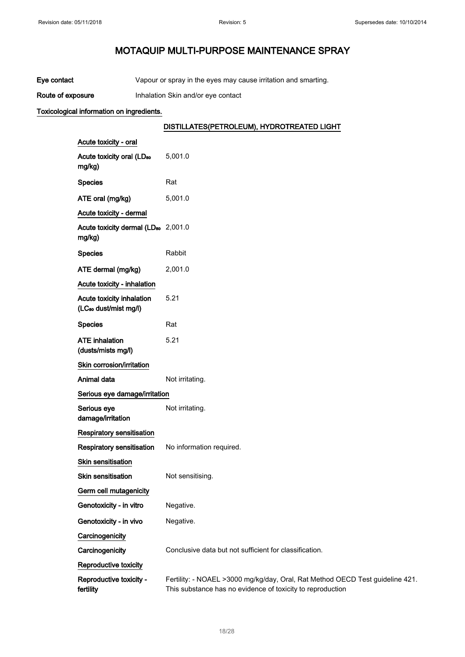| Eye contact | Vapour or spray in the eyes may cause irritation and smarting. |  |
|-------------|----------------------------------------------------------------|--|
|             |                                                                |  |

Route of exposure **Inhalation Skin and/or eye contact** 

## Toxicological information on ingredients.

## DISTILLATES(PETROLEUM), HYDROTREATED LIGHT

| Acute toxicity - oral                                          |                                                                                                                                             |
|----------------------------------------------------------------|---------------------------------------------------------------------------------------------------------------------------------------------|
| Acute toxicity oral (LD <sub>50</sub><br>mg/kg)                | 5,001.0                                                                                                                                     |
| <b>Species</b>                                                 | Rat                                                                                                                                         |
| ATE oral (mg/kg)                                               | 5,001.0                                                                                                                                     |
| Acute toxicity - dermal                                        |                                                                                                                                             |
| Acute toxicity dermal (LD <sub>50</sub> 2,001.0<br>mg/kg)      |                                                                                                                                             |
| <b>Species</b>                                                 | Rabbit                                                                                                                                      |
| ATE dermal (mg/kg)                                             | 2,001.0                                                                                                                                     |
| Acute toxicity - inhalation                                    |                                                                                                                                             |
| Acute toxicity inhalation<br>(LC <sub>so</sub> dust/mist mg/l) | 5.21                                                                                                                                        |
| <b>Species</b>                                                 | Rat                                                                                                                                         |
| <b>ATE inhalation</b><br>(dusts/mists mg/l)                    | 5.21                                                                                                                                        |
| Skin corrosion/irritation                                      |                                                                                                                                             |
| Animal data                                                    | Not irritating.                                                                                                                             |
| Serious eye damage/irritation                                  |                                                                                                                                             |
| Serious eye<br>damage/irritation                               | Not irritating.                                                                                                                             |
| Respiratory sensitisation                                      |                                                                                                                                             |
| Respiratory sensitisation                                      | No information required.                                                                                                                    |
| Skin sensitisation                                             |                                                                                                                                             |
| <b>Skin sensitisation</b>                                      | Not sensitising.                                                                                                                            |
| Germ cell mutagenicity                                         |                                                                                                                                             |
| Genotoxicity - in vitro                                        | Negative.                                                                                                                                   |
| Genotoxicity - in vivo                                         | Negative.                                                                                                                                   |
| Carcinogenicity                                                |                                                                                                                                             |
| Carcinogenicity                                                | Conclusive data but not sufficient for classification.                                                                                      |
| Reproductive toxicity                                          |                                                                                                                                             |
| Reproductive toxicity -<br>fertility                           | Fertility: - NOAEL >3000 mg/kg/day, Oral, Rat Method OECD Test guideline 421.<br>This substance has no evidence of toxicity to reproduction |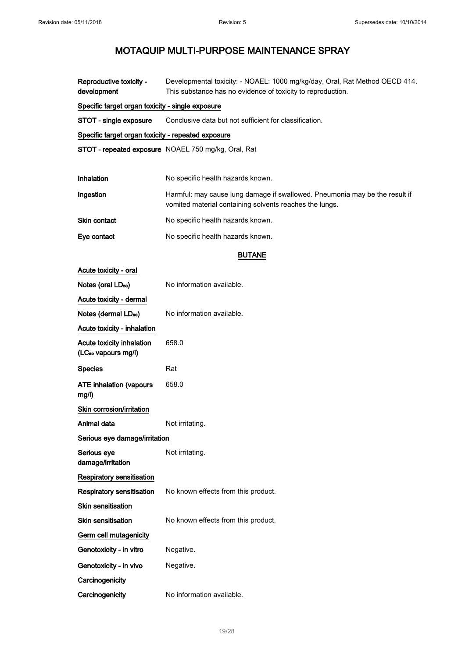Reproductive toxicity development Developmental toxicity: - NOAEL: 1000 mg/kg/day, Oral, Rat Method OECD 414. This substance has no evidence of toxicity to reproduction. Specific target organ toxicity - single exposure STOT - single exposure Conclusive data but not sufficient for classification. Specific target organ toxicity - repeated exposure STOT - repeated exposure NOAEL 750 mg/kg, Oral, Rat Inhalation No specific health hazards known. Ingestion **Harmful: may cause lung damage if swallowed**. Pneumonia may be the result if vomited material containing solvents reaches the lungs. Skin contact No specific health hazards known. Eve contact No specific health hazards known. BUTANE Acute toxicity - oral Notes (oral LD<sub>50</sub>) No information available. Acute toxicity - dermal Notes (dermal LD<sub>50</sub>) No information available. Acute toxicity - inhalation Acute toxicity inhalation (LC₅₀ vapours mg/l) 658.0 Species Rat ATE inhalation (vapours mg/l) 658.0 Skin corrosion/irritation Animal data Not irritating. Serious eye damage/irritation Serious eye damage/irritation Not irritating. Respiratory sensitisation Respiratory sensitisation No known effects from this product. Skin sensitisation Skin sensitisation No known effects from this product. Germ cell mutagenicity Genotoxicity - in vitro Negative. Genotoxicity - in vivo Negative. **Carcinogenicity** Carcinogenicity No information available.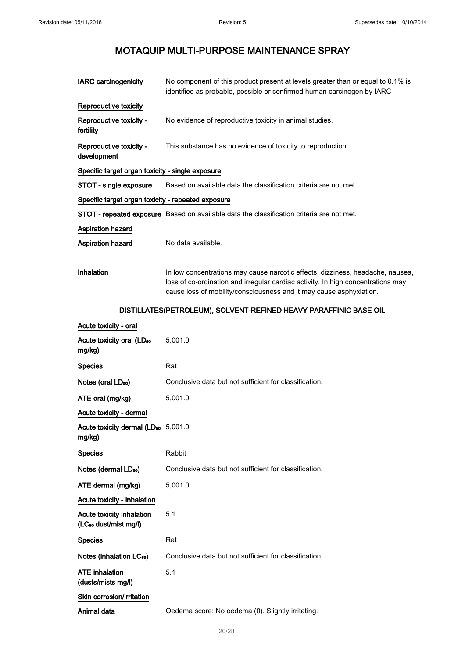| <b>IARC</b> carcinogenicity                                    | No component of this product present at levels greater than or equal to 0.1% is<br>identified as probable, possible or confirmed human carcinogen by IARC                                                                                 |
|----------------------------------------------------------------|-------------------------------------------------------------------------------------------------------------------------------------------------------------------------------------------------------------------------------------------|
| Reproductive toxicity                                          |                                                                                                                                                                                                                                           |
| Reproductive toxicity -<br>fertility                           | No evidence of reproductive toxicity in animal studies.                                                                                                                                                                                   |
| Reproductive toxicity -<br>development                         | This substance has no evidence of toxicity to reproduction.                                                                                                                                                                               |
| Specific target organ toxicity - single exposure               |                                                                                                                                                                                                                                           |
| STOT - single exposure                                         | Based on available data the classification criteria are not met.                                                                                                                                                                          |
| Specific target organ toxicity - repeated exposure             |                                                                                                                                                                                                                                           |
|                                                                | STOT - repeated exposure Based on available data the classification criteria are not met.                                                                                                                                                 |
| <b>Aspiration hazard</b>                                       |                                                                                                                                                                                                                                           |
| <b>Aspiration hazard</b>                                       | No data available.                                                                                                                                                                                                                        |
| <b>Inhalation</b>                                              | In low concentrations may cause narcotic effects, dizziness, headache, nausea,<br>loss of co-ordination and irregular cardiac activity. In high concentrations may<br>cause loss of mobility/consciousness and it may cause asphyxiation. |
|                                                                | DISTILLATES(PETROLEUM), SOLVENT-REFINED HEAVY PARAFFINIC BASE OIL                                                                                                                                                                         |
| Acute toxicity - oral                                          |                                                                                                                                                                                                                                           |
| Acute toxicity oral (LD <sub>50</sub><br>mg/kg)                | 5,001.0                                                                                                                                                                                                                                   |
| <b>Species</b>                                                 | Rat                                                                                                                                                                                                                                       |
| Notes (oral LD <sub>50</sub> )                                 | Conclusive data but not sufficient for classification.                                                                                                                                                                                    |
| ATE oral (mg/kg)                                               | 5,001.0                                                                                                                                                                                                                                   |
| Acute toxicity - dermal                                        |                                                                                                                                                                                                                                           |
| Acute toxicity dermal (LD <sub>50</sub> 5,001.0<br>mg/kg)      |                                                                                                                                                                                                                                           |
| <b>Species</b>                                                 | Rabbit                                                                                                                                                                                                                                    |
| Notes (dermal LD <sub>50</sub> )                               | Conclusive data but not sufficient for classification.                                                                                                                                                                                    |
| ATE dermal (mg/kg)                                             | 5,001.0                                                                                                                                                                                                                                   |
| Acute toxicity - inhalation                                    |                                                                                                                                                                                                                                           |
| Acute toxicity inhalation<br>(LC <sub>50</sub> dust/mist mg/l) | 5.1                                                                                                                                                                                                                                       |
| <b>Species</b>                                                 | Rat                                                                                                                                                                                                                                       |
| Notes (inhalation LC <sub>50</sub> )                           | Conclusive data but not sufficient for classification.                                                                                                                                                                                    |
| <b>ATE</b> inhalation<br>(dusts/mists mg/l)                    | 5.1                                                                                                                                                                                                                                       |
| Skin corrosion/irritation                                      |                                                                                                                                                                                                                                           |
| Animal data                                                    | Oedema score: No oedema (0). Slightly irritating.                                                                                                                                                                                         |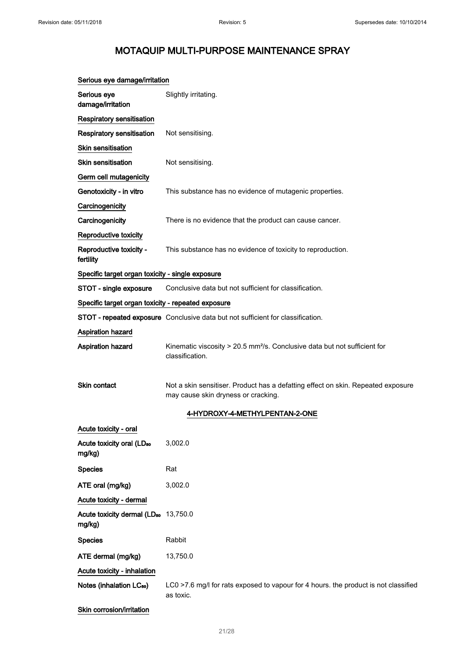| Serious eye damage/irritation                              |                                                                                                                         |
|------------------------------------------------------------|-------------------------------------------------------------------------------------------------------------------------|
| Serious eye<br>damage/irritation                           | Slightly irritating.                                                                                                    |
| Respiratory sensitisation                                  |                                                                                                                         |
| <b>Respiratory sensitisation</b>                           | Not sensitising.                                                                                                        |
| Skin sensitisation                                         |                                                                                                                         |
| Skin sensitisation                                         | Not sensitising.                                                                                                        |
| Germ cell mutagenicity                                     |                                                                                                                         |
| Genotoxicity - in vitro                                    | This substance has no evidence of mutagenic properties.                                                                 |
| Carcinogenicity                                            |                                                                                                                         |
| Carcinogenicity                                            | There is no evidence that the product can cause cancer.                                                                 |
| Reproductive toxicity                                      |                                                                                                                         |
| Reproductive toxicity -<br>fertility                       | This substance has no evidence of toxicity to reproduction.                                                             |
| Specific target organ toxicity - single exposure           |                                                                                                                         |
| STOT - single exposure                                     | Conclusive data but not sufficient for classification.                                                                  |
| Specific target organ toxicity - repeated exposure         |                                                                                                                         |
|                                                            | STOT - repeated exposure Conclusive data but not sufficient for classification.                                         |
| <b>Aspiration hazard</b>                                   |                                                                                                                         |
| Aspiration hazard                                          | Kinematic viscosity > 20.5 mm <sup>2</sup> /s. Conclusive data but not sufficient for<br>classification.                |
| <b>Skin contact</b>                                        | Not a skin sensitiser. Product has a defatting effect on skin. Repeated exposure<br>may cause skin dryness or cracking. |
|                                                            | 4-HYDROXY-4-METHYLPENTAN-2-ONE                                                                                          |
| Acute toxicity - oral                                      |                                                                                                                         |
| Acute toxicity oral (LD <sub>50</sub><br>mg/kg)            | 3,002.0                                                                                                                 |
| <b>Species</b>                                             | Rat                                                                                                                     |
| ATE oral (mg/kg)                                           | 3,002.0                                                                                                                 |
| Acute toxicity - dermal                                    |                                                                                                                         |
| Acute toxicity dermal (LD <sub>50</sub> 13,750.0<br>mg/kg) |                                                                                                                         |
| <b>Species</b>                                             | Rabbit                                                                                                                  |
| ATE dermal (mg/kg)                                         | 13,750.0                                                                                                                |
| Acute toxicity - inhalation                                |                                                                                                                         |
| Notes (inhalation LC <sub>50</sub> )                       | LC0 >7.6 mg/l for rats exposed to vapour for 4 hours. the product is not classified<br>as toxic.                        |
| Skin corrosion/irritation                                  |                                                                                                                         |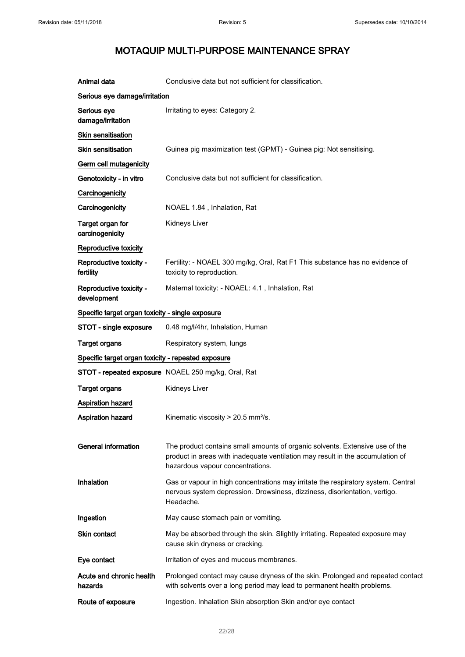| Animal data                                        | Conclusive data but not sufficient for classification.                                                                                                                                             |
|----------------------------------------------------|----------------------------------------------------------------------------------------------------------------------------------------------------------------------------------------------------|
| Serious eye damage/irritation                      |                                                                                                                                                                                                    |
| Serious eye<br>damage/irritation                   | Irritating to eyes: Category 2.                                                                                                                                                                    |
| <b>Skin sensitisation</b>                          |                                                                                                                                                                                                    |
| Skin sensitisation                                 | Guinea pig maximization test (GPMT) - Guinea pig: Not sensitising.                                                                                                                                 |
| Germ cell mutagenicity                             |                                                                                                                                                                                                    |
| Genotoxicity - in vitro                            | Conclusive data but not sufficient for classification.                                                                                                                                             |
| Carcinogenicity                                    |                                                                                                                                                                                                    |
| Carcinogenicity                                    | NOAEL 1.84, Inhalation, Rat                                                                                                                                                                        |
| Target organ for<br>carcinogenicity                | Kidneys Liver                                                                                                                                                                                      |
| Reproductive toxicity                              |                                                                                                                                                                                                    |
| Reproductive toxicity -<br>fertility               | Fertility: - NOAEL 300 mg/kg, Oral, Rat F1 This substance has no evidence of<br>toxicity to reproduction.                                                                                          |
| Reproductive toxicity -<br>development             | Maternal toxicity: - NOAEL: 4.1, Inhalation, Rat                                                                                                                                                   |
| Specific target organ toxicity - single exposure   |                                                                                                                                                                                                    |
| STOT - single exposure                             | 0.48 mg/l/4hr, Inhalation, Human                                                                                                                                                                   |
| <b>Target organs</b>                               | Respiratory system, lungs                                                                                                                                                                          |
| Specific target organ toxicity - repeated exposure |                                                                                                                                                                                                    |
|                                                    | STOT - repeated exposure NOAEL 250 mg/kg, Oral, Rat                                                                                                                                                |
| <b>Target organs</b>                               | Kidneys Liver                                                                                                                                                                                      |
| Aspiration hazard                                  |                                                                                                                                                                                                    |
| <b>Aspiration hazard</b>                           | Kinematic viscosity $> 20.5$ mm <sup>2</sup> /s.                                                                                                                                                   |
| <b>General information</b>                         | The product contains small amounts of organic solvents. Extensive use of the<br>product in areas with inadequate ventilation may result in the accumulation of<br>hazardous vapour concentrations. |
| Inhalation                                         | Gas or vapour in high concentrations may irritate the respiratory system. Central<br>nervous system depression. Drowsiness, dizziness, disorientation, vertigo.<br>Headache.                       |
| Ingestion                                          | May cause stomach pain or vomiting.                                                                                                                                                                |
| <b>Skin contact</b>                                | May be absorbed through the skin. Slightly irritating. Repeated exposure may<br>cause skin dryness or cracking.                                                                                    |
| Eye contact                                        | Irritation of eyes and mucous membranes.                                                                                                                                                           |
| Acute and chronic health<br>hazards                | Prolonged contact may cause dryness of the skin. Prolonged and repeated contact<br>with solvents over a long period may lead to permanent health problems.                                         |
| Route of exposure                                  | Ingestion. Inhalation Skin absorption Skin and/or eye contact                                                                                                                                      |
|                                                    |                                                                                                                                                                                                    |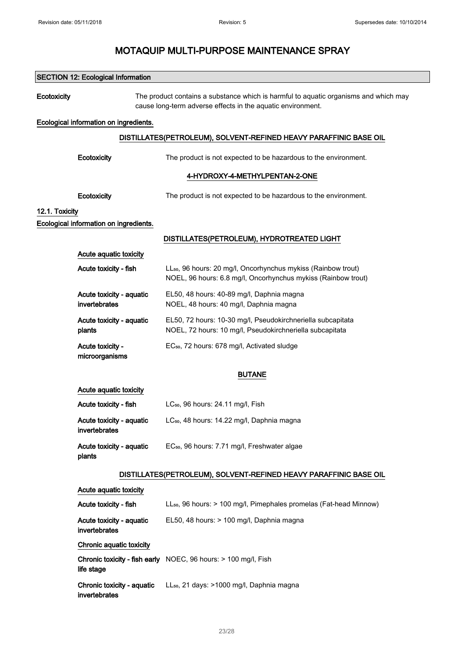|                | <b>SECTION 12: Ecological Information</b>   |                                                                                                                                                     |
|----------------|---------------------------------------------|-----------------------------------------------------------------------------------------------------------------------------------------------------|
| Ecotoxicity    |                                             | The product contains a substance which is harmful to aquatic organisms and which may<br>cause long-term adverse effects in the aquatic environment. |
|                | Ecological information on ingredients.      |                                                                                                                                                     |
|                |                                             | DISTILLATES(PETROLEUM), SOLVENT-REFINED HEAVY PARAFFINIC BASE OIL                                                                                   |
|                | Ecotoxicity                                 | The product is not expected to be hazardous to the environment.                                                                                     |
|                |                                             | 4-HYDROXY-4-METHYLPENTAN-2-ONE                                                                                                                      |
|                | Ecotoxicity                                 | The product is not expected to be hazardous to the environment.                                                                                     |
| 12.1. Toxicity |                                             |                                                                                                                                                     |
|                | Ecological information on ingredients.      |                                                                                                                                                     |
|                |                                             | DISTILLATES(PETROLEUM), HYDROTREATED LIGHT                                                                                                          |
|                | Acute aquatic toxicity                      |                                                                                                                                                     |
|                | Acute toxicity - fish                       | LL <sub>50</sub> , 96 hours: 20 mg/l, Oncorhynchus mykiss (Rainbow trout)<br>NOEL, 96 hours: 6.8 mg/l, Oncorhynchus mykiss (Rainbow trout)          |
|                | Acute toxicity - aquatic<br>invertebrates   | EL50, 48 hours: 40-89 mg/l, Daphnia magna<br>NOEL, 48 hours: 40 mg/l, Daphnia magna                                                                 |
|                | Acute toxicity - aquatic<br>plants          | EL50, 72 hours: 10-30 mg/l, Pseudokirchneriella subcapitata<br>NOEL, 72 hours: 10 mg/l, Pseudokirchneriella subcapitata                             |
|                | Acute toxicity -<br>microorganisms          | EC <sub>50</sub> , 72 hours: 678 mg/l, Activated sludge                                                                                             |
|                |                                             | <b>BUTANE</b>                                                                                                                                       |
|                | Acute aquatic toxicity                      |                                                                                                                                                     |
|                | Acute toxicity - fish                       | LC <sub>50</sub> , 96 hours: 24.11 mg/l, Fish                                                                                                       |
|                | Acute toxicity - aquatic<br>invertebrates   | LC <sub>50</sub> , 48 hours: 14.22 mg/l, Daphnia magna                                                                                              |
|                | Acute toxicity - aquatic<br>plants          | EC <sub>50</sub> , 96 hours: 7.71 mg/l, Freshwater algae                                                                                            |
|                |                                             | DISTILLATES(PETROLEUM), SOLVENT-REFINED HEAVY PARAFFINIC BASE OIL                                                                                   |
|                | Acute aquatic toxicity                      |                                                                                                                                                     |
|                | Acute toxicity - fish                       | LL <sub>50</sub> , 96 hours: > 100 mg/l, Pimephales promelas (Fat-head Minnow)                                                                      |
|                | Acute toxicity - aquatic<br>invertebrates   | EL50, 48 hours: > 100 mg/l, Daphnia magna                                                                                                           |
|                | Chronic aquatic toxicity                    |                                                                                                                                                     |
|                | life stage                                  | Chronic toxicity - fish early NOEC, 96 hours: > 100 mg/l, Fish                                                                                      |
|                | Chronic toxicity - aquatic<br>invertebrates | LL <sub>50</sub> , 21 days: >1000 mg/l, Daphnia magna                                                                                               |
|                |                                             |                                                                                                                                                     |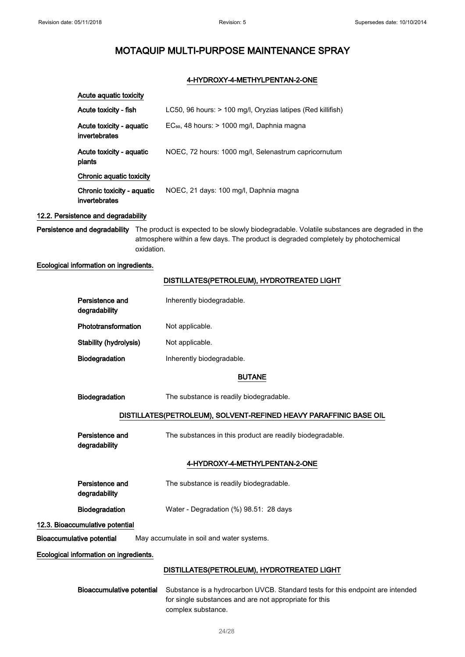### 4-HYDROXY-4-METHYLPENTAN-2-ONE

| Acute aguatic toxicity                      |                                                             |
|---------------------------------------------|-------------------------------------------------------------|
| Acute toxicity - fish                       | LC50, 96 hours: > 100 mg/l, Oryzias latipes (Red killifish) |
| Acute toxicity - aquatic<br>invertebrates   | $EC_{50}$ , 48 hours: $> 1000$ mg/l, Daphnia magna          |
| Acute toxicity - aguatic<br>plants          | NOEC, 72 hours: 1000 mg/l, Selenastrum capricornutum        |
| Chronic aquatic toxicity                    |                                                             |
| Chronic toxicity - aquatic<br>invertebrates | NOEC, 21 days: 100 mg/l, Daphnia magna                      |

### 12.2. Persistence and degradability

Persistence and degradability The product is expected to be slowly biodegradable. Volatile substances are degraded in the atmosphere within a few days. The product is degraded completely by photochemical oxidation.

#### Ecological information on ingredients.

#### DISTILLATES(PETROLEUM), HYDROTREATED LIGHT

| Persistence and<br>degradability | Inherently biodegradable. |
|----------------------------------|---------------------------|
| Phototransformation              | Not applicable.           |
| Stability (hydrolysis)           | Not applicable.           |
| <b>Biodegradation</b>            | Inherently biodegradable. |

#### BUTANE

Biodegradation The substance is readily biodegradable.

#### DISTILLATES(PETROLEUM), SOLVENT-REFINED HEAVY PARAFFINIC BASE OIL

| Persistence and | The substances in this product are readily biodegradable. |
|-----------------|-----------------------------------------------------------|
| degradability   |                                                           |

## 4-HYDROXY-4-METHYLPENTAN-2-ONE

| Persistence and<br>degradability | The substance is readily biodegradable.   |
|----------------------------------|-------------------------------------------|
| <b>Biodegradation</b>            | Water - Degradation $(\%)$ 98.51: 28 days |

### 12.3. Bioaccumulative potential

Bioaccumulative potential May accumulate in soil and water systems.

### Ecological information on ingredients.

### DISTILLATES(PETROLEUM), HYDROTREATED LIGHT

Bioaccumulative potential Substance is a hydrocarbon UVCB. Standard tests for this endpoint are intended for single substances and are not appropriate for this complex substance.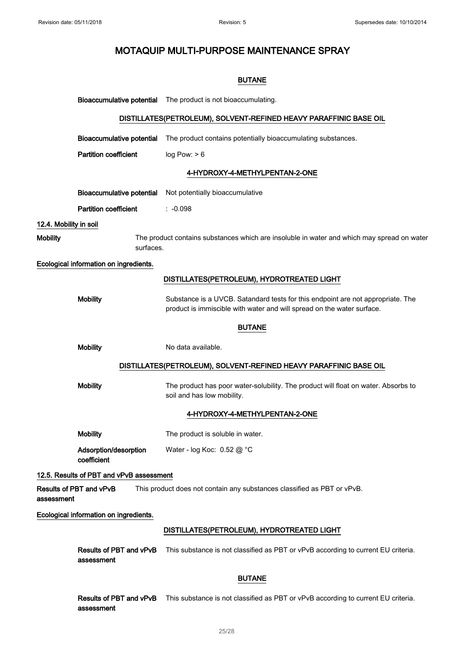|                        |                                          | <b>BUTANE</b>                                                                                                                                             |
|------------------------|------------------------------------------|-----------------------------------------------------------------------------------------------------------------------------------------------------------|
|                        | <b>Bioaccumulative potential</b>         | The product is not bioaccumulating.                                                                                                                       |
|                        |                                          | DISTILLATES(PETROLEUM), SOLVENT-REFINED HEAVY PARAFFINIC BASE OIL                                                                                         |
|                        | <b>Bioaccumulative potential</b>         | The product contains potentially bioaccumulating substances.                                                                                              |
|                        | <b>Partition coefficient</b>             | log Pow: > 6                                                                                                                                              |
|                        |                                          | 4-HYDROXY-4-METHYLPENTAN-2-ONE                                                                                                                            |
|                        | <b>Bioaccumulative potential</b>         | Not potentially bioaccumulative                                                                                                                           |
|                        | <b>Partition coefficient</b>             | $: -0.098$                                                                                                                                                |
| 12.4. Mobility in soil |                                          |                                                                                                                                                           |
| <b>Mobility</b>        | surfaces.                                | The product contains substances which are insoluble in water and which may spread on water                                                                |
|                        | Ecological information on ingredients.   |                                                                                                                                                           |
|                        |                                          | DISTILLATES(PETROLEUM), HYDROTREATED LIGHT                                                                                                                |
|                        | <b>Mobility</b>                          | Substance is a UVCB. Satandard tests for this endpoint are not appropriate. The<br>product is immiscible with water and will spread on the water surface. |
|                        |                                          | <b>BUTANE</b>                                                                                                                                             |
|                        | <b>Mobility</b>                          | No data available.                                                                                                                                        |
|                        |                                          | DISTILLATES(PETROLEUM), SOLVENT-REFINED HEAVY PARAFFINIC BASE OIL                                                                                         |
|                        | <b>Mobility</b>                          | The product has poor water-solubility. The product will float on water. Absorbs to<br>soil and has low mobility.                                          |
|                        |                                          | 4-HYDROXY-4-METHYLPENTAN-2-ONE                                                                                                                            |
|                        | <b>Mobility</b>                          | The product is soluble in water.                                                                                                                          |
|                        | Adsorption/desorption<br>coefficient     | Water - log Koc: $0.52 \textcircled{a}^{\circ}$ C                                                                                                         |
|                        | 12.5. Results of PBT and vPvB assessment |                                                                                                                                                           |
| assessment             | Results of PBT and vPvB                  | This product does not contain any substances classified as PBT or vPvB.                                                                                   |
|                        | Ecological information on ingredients.   |                                                                                                                                                           |
|                        |                                          | DISTILLATES(PETROLEUM), HYDROTREATED LIGHT                                                                                                                |
|                        | Results of PBT and vPvB<br>assessment    | This substance is not classified as PBT or vPvB according to current EU criteria.                                                                         |
|                        |                                          | <b>BUTANE</b>                                                                                                                                             |
|                        | assessment                               | Results of PBT and vPvB This substance is not classified as PBT or vPvB according to current EU criteria.                                                 |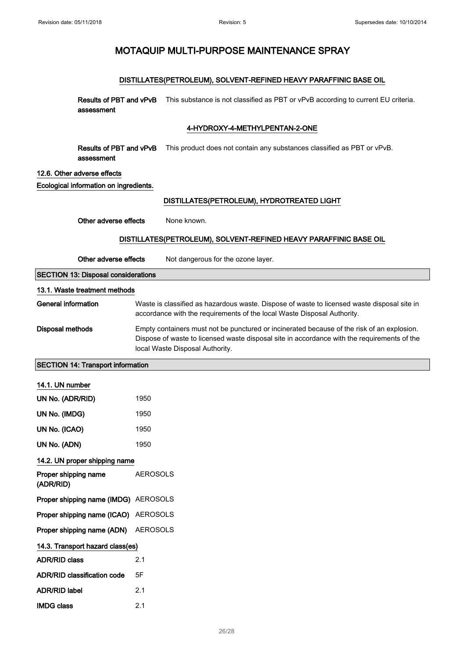## DISTILLATES(PETROLEUM), SOLVENT-REFINED HEAVY PARAFFINIC BASE OIL

Results of PBT and vPvB This substance is not classified as PBT or vPvB according to current EU criteria. assessment

### 4-HYDROXY-4-METHYLPENTAN-2-ONE

Results of PBT and vPvB assessment This product does not contain any substances classified as PBT or vPvB.

### 12.6. Other adverse effects

Ecological information on ingredients.

### DISTILLATES(PETROLEUM), HYDROTREATED LIGHT

Other adverse effects None known.

## DISTILLATES(PETROLEUM), SOLVENT-REFINED HEAVY PARAFFINIC BASE OIL

Other adverse effects Not dangerous for the ozone layer.

SECTION 13: Disposal considerations

#### 13.1. Waste treatment methods

General information **Waste is classified as hazardous waste**. Dispose of waste to licensed waste disposal site in accordance with the requirements of the local Waste Disposal Authority.

Disposal methods Empty containers must not be punctured or incinerated because of the risk of an explosion. Dispose of waste to licensed waste disposal site in accordance with the requirements of the local Waste Disposal Authority.

SECTION 14: Transport information

14.1. UN number

| UN No. (ADR/RID)                     | 1950            |
|--------------------------------------|-----------------|
| UN No. (IMDG)                        | 1950            |
| UN No. (ICAO)                        | 1950            |
| UN No. (ADN)                         | 1950            |
| 14.2. UN proper shipping name        |                 |
| Proper shipping name<br>(ADR/RID)    | <b>AEROSOLS</b> |
| Proper shipping name (IMDG) AEROSOLS |                 |
| Proper shipping name (ICAO) AEROSOLS |                 |
| Proper shipping name (ADN) AEROSOLS  |                 |
| 14.3. Transport hazard class(es)     |                 |
| <b>ADR/RID class</b>                 | 2.1             |
| ADR/RID classification code          | 5F              |
| <b>ADR/RID label</b>                 | 2.1             |
| <b>IMDG class</b>                    | 2.1             |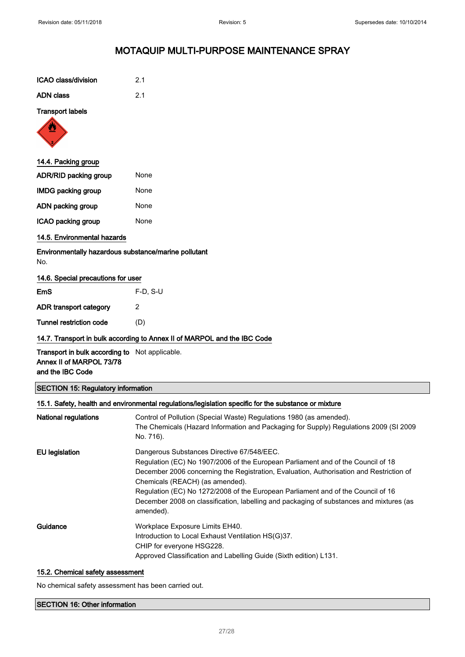| ICAO class/division | 2.1 |
|---------------------|-----|
| ADN class           | 21  |

### Transport labels



## 14.4. Packing group

| <b>ADR/RID packing group</b> | None |
|------------------------------|------|
| <b>IMDG packing group</b>    | None |
| ADN packing group            | None |
| ICAO packing group           | None |

## 14.5. Environmental hazards

Environmentally hazardous substance/marine pollutant No.

### 14.6. Special precautions for user

| EmS                     | $F-D$ , S-U |
|-------------------------|-------------|
| ADR transport category  | 2           |
| Tunnel restriction code | (D)         |

## 14.7. Transport in bulk according to Annex II of MARPOL and the IBC Code

Transport in bulk according to Not applicable. Annex II of MARPOL 73/78 and the IBC Code

### SECTION 15: Regulatory information

|                       | 15.1. Safety, health and environmental regulations/legislation specific for the substance or mixture                                                                                                                                                                                                                                                                                                                                                     |
|-----------------------|----------------------------------------------------------------------------------------------------------------------------------------------------------------------------------------------------------------------------------------------------------------------------------------------------------------------------------------------------------------------------------------------------------------------------------------------------------|
| National regulations  | Control of Pollution (Special Waste) Regulations 1980 (as amended).<br>The Chemicals (Hazard Information and Packaging for Supply) Regulations 2009 (SI 2009<br>No. 716).                                                                                                                                                                                                                                                                                |
| <b>EU</b> legislation | Dangerous Substances Directive 67/548/EEC.<br>Regulation (EC) No 1907/2006 of the European Parliament and of the Council of 18<br>December 2006 concerning the Registration, Evaluation, Authorisation and Restriction of<br>Chemicals (REACH) (as amended).<br>Regulation (EC) No 1272/2008 of the European Parliament and of the Council of 16<br>December 2008 on classification, labelling and packaging of substances and mixtures (as<br>amended). |
| Guidance              | Workplace Exposure Limits EH40.<br>Introduction to Local Exhaust Ventilation HS(G)37.<br>CHIP for everyone HSG228.<br>Approved Classification and Labelling Guide (Sixth edition) L131.                                                                                                                                                                                                                                                                  |

### 15.2. Chemical safety assessment

No chemical safety assessment has been carried out.

## SECTION 16: Other information